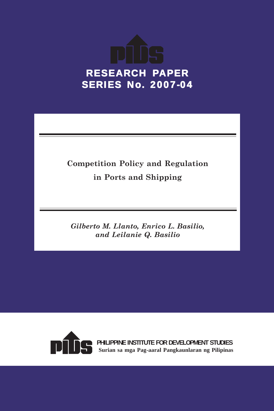

## **Competition Policy and Regulation in Ports and Shipping**

*Gilberto M. Llanto, Enrico L. Basilio, and Leilanie Q. Basilio*



**PHILIPPINE INSTITUTE FOR DEVELOPMENT STUDIES Surian sa mga Pag-aaral Pangkaunlaran ng Pilipinas**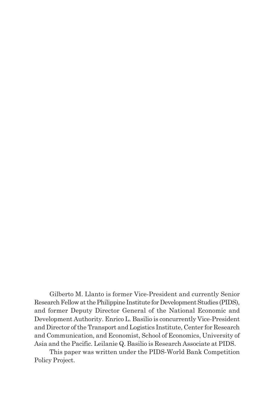Gilberto M. Llanto is former Vice-President and currently Senior Research Fellow at the Philippine Institute for Development Studies (PIDS), and former Deputy Director General of the National Economic and Development Authority. Enrico L. Basilio is concurrently Vice-President and Director of the Transport and Logistics Institute, Center for Research and Communication, and Economist, School of Economics, University of Asia and the Pacific. Leilanie Q. Basilio is Research Associate at PIDS.

This paper was written under the PIDS-World Bank Competition Policy Project.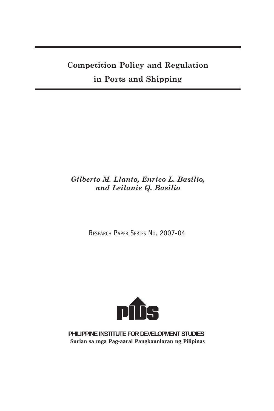## **Competition Policy and Regulation**

## **in Ports and Shipping**

### *Gilberto M. Llanto, Enrico L. Basilio, and Leilanie Q. Basilio*

RESEARCH PAPER SERIES NO. 2007-04



**PHILIPPINE INSTITUTE FOR DEVELOPMENT STUDIES Surian sa mga Pag-aaral Pangkaunlaran ng Pilipinas**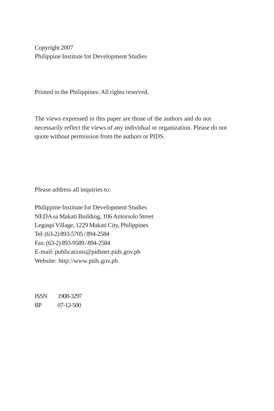Copyright 2007 Philippine Institute for Development Studies

Printed in the Philippines. All rights reserved.

The views expressed in this paper are those of the authors and do not necessarily reflect the views of any individual or organization. Please do not quote without permission from the authors or PIDS.

Please address all inquiries to:

Philippine Institute for Development Studies NEDA sa Makati Building, 106 Amorsolo Street Legaspi Village, 1229 Makati City, Philippines Tel: (63-2) 893-5705 / 894-2584 Fax: (63-2) 893-9589 / 894-2584 E-mail: publications@pidsnet.pids.gov.ph Website: http://www.pids.gov.ph

ISSN 1908-3297 RP 07-12-500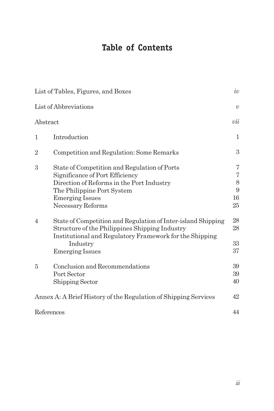## **Table of Contents**

|                | List of Tables, Figures, and Boxes                                                                        | $\iota\upsilon$     |
|----------------|-----------------------------------------------------------------------------------------------------------|---------------------|
|                | List of Abbreviations                                                                                     | $\upsilon$          |
| Abstract       |                                                                                                           | vii                 |
| 1              | Introduction                                                                                              | 1                   |
| $\overline{2}$ | Competition and Regulation: Some Remarks                                                                  | 3                   |
| 3              | State of Competition and Regulation of Ports                                                              | 7<br>$\overline{7}$ |
|                | Significance of Port Efficiency<br>Direction of Reforms in the Port Industry                              | 8                   |
|                | The Philippine Port System                                                                                | 9                   |
|                | <b>Emerging Issues</b>                                                                                    | 16                  |
|                | Necessary Reforms                                                                                         | 25                  |
| $\overline{4}$ | State of Competition and Regulation of Inter-island Shipping                                              | 28                  |
|                | Structure of the Philippines Shipping Industry<br>Institutional and Regulatory Framework for the Shipping | 28                  |
|                | Industry                                                                                                  | 33<br>37            |
|                | <b>Emerging Issues</b>                                                                                    |                     |
| 5              | Conclusion and Recommendations                                                                            | 39                  |
|                | Port Sector                                                                                               | 39                  |
|                | Shipping Sector                                                                                           | 40                  |
|                | Annex A: A Brief History of the Regulation of Shipping Services                                           | 42                  |
| References     |                                                                                                           | 44                  |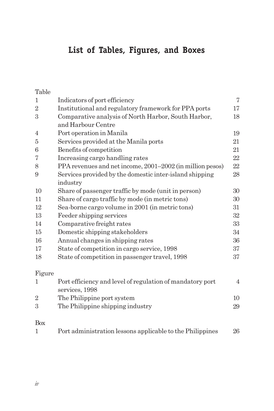## **List of Tables, Figures, and Boxes**

Table

| 1              | Indicators of port efficiency                                               | $\overline{7}$ |
|----------------|-----------------------------------------------------------------------------|----------------|
| $\overline{2}$ | Institutional and regulatory framework for PPA ports                        | 17             |
| 3              | Comparative analysis of North Harbor, South Harbor,                         | 18             |
|                | and Harbour Centre                                                          |                |
| $\overline{4}$ | Port operation in Manila                                                    | 19             |
| 5              | Services provided at the Manila ports                                       | 21             |
| 6              | Benefits of competition                                                     | 21             |
| 7              | Increasing cargo handling rates                                             | 22             |
| 8              | PPA revenues and net income, 2001-2002 (in million pesos)                   | 22             |
| 9              | Services provided by the domestic inter-island shipping                     | 28             |
|                | industry                                                                    |                |
| 10             | Share of passenger traffic by mode (unit in person)                         | 30             |
| 11             | Share of cargo traffic by mode (in metric tons)                             | 30             |
| 12             | Sea-borne cargo volume in 2001 (in metric tons)                             | 31             |
| 13             | Feeder shipping services                                                    | 32             |
| 14             | Comparative freight rates                                                   | 33             |
| 15             | Domestic shipping stakeholders                                              | 34             |
| 16             | Annual changes in shipping rates                                            | 36             |
| 17             | State of competition in cargo service, 1998                                 | 37             |
| 18             | State of competition in passenger travel, 1998                              | 37             |
| Figure         |                                                                             |                |
| 1              | Port efficiency and level of regulation of mandatory port<br>services, 1998 | 4              |

| 001, 1000, 1000                  |    |
|----------------------------------|----|
| The Philippine port system       |    |
| The Philippine shipping industry | 29 |
|                                  |    |

## Box

| Port administration lessons applicable to the Philippines |  | 26 |
|-----------------------------------------------------------|--|----|
|                                                           |  |    |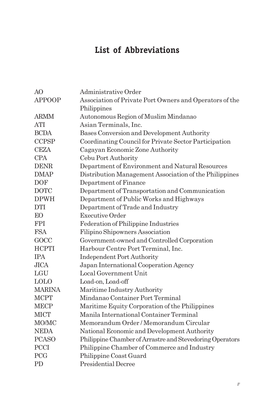## **List of Abbreviations**

| AO            | Administrative Order                                     |
|---------------|----------------------------------------------------------|
| <b>APPOOP</b> | Association of Private Port Owners and Operators of the  |
|               | Philippines                                              |
| <b>ARMM</b>   | Autonomous Region of Muslim Mindanao                     |
| ATI           | Asian Terminals, Inc.                                    |
| <b>BCDA</b>   | Bases Conversion and Development Authority               |
| <b>CCPSP</b>  | Coordinating Council for Private Sector Participation    |
| <b>CEZA</b>   | Cagayan Economic Zone Authority                          |
| <b>CPA</b>    | Cebu Port Authority                                      |
| <b>DENR</b>   | Department of Environment and Natural Resources          |
| <b>DMAP</b>   | Distribution Management Association of the Philippines   |
| <b>DOF</b>    | Department of Finance                                    |
| <b>DOTC</b>   | Department of Transportation and Communication           |
| <b>DPWH</b>   | Department of Public Works and Highways                  |
| <b>DTI</b>    | Department of Trade and Industry                         |
| EО            | Executive Order                                          |
| <b>FPI</b>    | Federation of Philippine Industries                      |
| <b>FSA</b>    | Filipino Shipowners Association                          |
| GOCC          | Government-owned and Controlled Corporation              |
| <b>HCPTI</b>  | Harbour Centre Port Terminal, Inc.                       |
| <b>IPA</b>    | <b>Independent Port Authority</b>                        |
| JICA          | Japan International Cooperation Agency                   |
| LGU           | Local Government Unit                                    |
| <b>LOLO</b>   | Load-on, Load-off                                        |
| <b>MARINA</b> | Maritime Industry Authority                              |
| <b>MCPT</b>   | Mindanao Container Port Terminal                         |
| <b>MECP</b>   | Maritime Equity Corporation of the Philippines           |
| <b>MICT</b>   | Manila International Container Terminal                  |
| MO/MC         | Memorandum Order / Memorandum Circular                   |
| <b>NEDA</b>   | National Economic and Development Authority              |
| <b>PCASO</b>  | Philippine Chamber of Arrastre and Stevedoring Operators |
| <b>PCCI</b>   | Philippine Chamber of Commerce and Industry              |
| PCG           | Philippine Coast Guard                                   |
| PD            | <b>Presidential Decree</b>                               |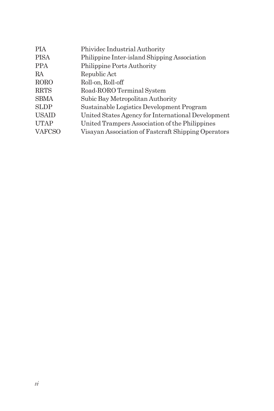| <b>PIA</b>    | Phividec Industrial Authority                       |
|---------------|-----------------------------------------------------|
| <b>PISA</b>   | Philippine Inter-island Shipping Association        |
| <b>PPA</b>    | <b>Philippine Ports Authority</b>                   |
| RA.           | Republic Act                                        |
| <b>RORO</b>   | Roll-on, Roll-off                                   |
| <b>RRTS</b>   | Road-RORO Terminal System                           |
| <b>SBMA</b>   | Subic Bay Metropolitan Authority                    |
| <b>SLDP</b>   | Sustainable Logistics Development Program           |
| <b>USAID</b>  | United States Agency for International Development  |
| <b>UTAP</b>   | United Trampers Association of the Philippines      |
| <b>VAFCSO</b> | Visayan Association of Fastcraft Shipping Operators |
|               |                                                     |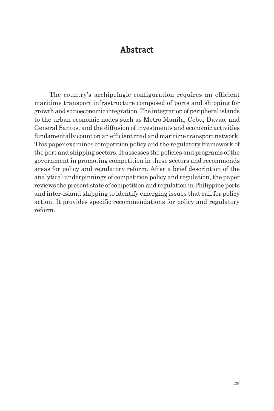## **Abstract**

The country's archipelagic configuration requires an efficient maritime transport infrastructure composed of ports and shipping for growth and socioeconomic integration. The integration of peripheral islands to the urban economic nodes such as Metro Manila, Cebu, Davao, and General Santos, and the diffusion of investments and economic activities fundamentally count on an efficient road and maritime transport network. This paper examines competition policy and the regulatory framework of the port and shipping sectors. It assesses the policies and programs of the government in promoting competition in these sectors and recommends areas for policy and regulatory reform. After a brief description of the analytical underpinnings of competition policy and regulation, the paper reviews the present state of competition and regulation in Philippine ports and inter-island shipping to identify emerging issues that call for policy action. It provides specific recommendations for policy and regulatory reform.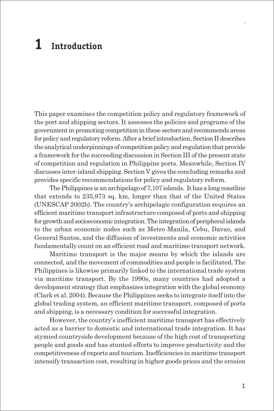# **1 Introduction**

This paper examines the competition policy and regulatory framework of the port and shipping sectors. It assesses the policies and programs of the government in promoting competition in these sectors and recommends areas for policy and regulatory reform. After a brief introduction, Section II describes the analytical underpinnings of competition policy and regulation that provide a framework for the succeeding discussion in Section III of the present state of competition and regulation in Philippine ports. Meanwhile, Section IV discusses inter-island shipping. Section V gives the concluding remarks and provides specific recommendations for policy and regulatory reform.

The Philippines is an archipelago of 7,107 islands. It has a long coastline that extends to 235,973 sq. km, longer than that of the United States (UNESCAP 2002b). The country's archipelagic configuration requires an efficient maritime transport infrastructure composed of ports and shipping for growth and socioeconomic integration. The integration of peripheral islands to the urban economic nodes such as Metro Manila, Cebu, Davao, and General Santos, and the diffusion of investments and economic activities fundamentally count on an efficient road and maritime transport network.

Maritime transport is the major means by which the islands are connected, and the movement of commodities and people is facilitated. The Philippines is likewise primarily linked to the international trade system via maritime transport. By the 1990s, many countries had adopted a development strategy that emphasizes integration with the global economy (Clark et al. 2004). Because the Philippines seeks to integrate itself into the global trading system, an efficient maritime transport, composed of ports and shipping, is a necessary condition for successful integration.

However, the country's inefficient maritime transport has effectively acted as a barrier to domestic and international trade integration. It has stymied countryside development because of the high cost of transporting people and goods and has stunted efforts to improve productivity and the competitiveness of exports and tourism. Inefficiencies in maritime transport intensify transaction cost, resulting in higher goods prices and the erosion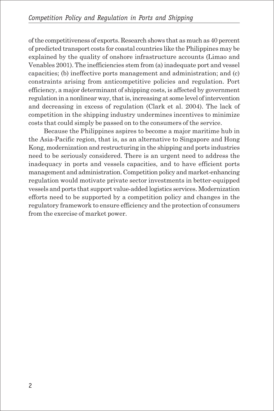of the competitiveness of exports. Research shows that as much as 40 percent of predicted transport costs for coastal countries like the Philippines may be explained by the quality of onshore infrastructure accounts (Limao and Venables 2001). The inefficiencies stem from (a) inadequate port and vessel capacities; (b) ineffective ports management and administration; and (c) constraints arising from anticompetitive policies and regulation. Port efficiency, a major determinant of shipping costs, is affected by government regulation in a nonlinear way, that is, increasing at some level of intervention and decreasing in excess of regulation (Clark et al. 2004). The lack of competition in the shipping industry undermines incentives to minimize costs that could simply be passed on to the consumers of the service.

Because the Philippines aspires to become a major maritime hub in the Asia-Pacific region, that is, as an alternative to Singapore and Hong Kong, modernization and restructuring in the shipping and ports industries need to be seriously considered. There is an urgent need to address the inadequacy in ports and vessels capacities, and to have efficient ports management and administration. Competition policy and market-enhancing regulation would motivate private sector investments in better-equipped vessels and ports that support value-added logistics services. Modernization efforts need to be supported by a competition policy and changes in the regulatory framework to ensure efficiency and the protection of consumers from the exercise of market power.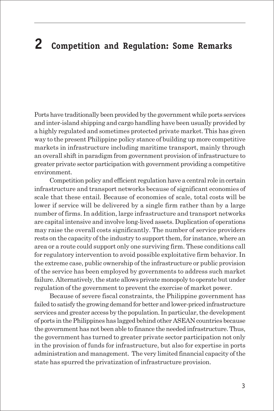# **2 Competition and Regulation: Some Remarks**

Ports have traditionally been provided by the government while ports services and inter-island shipping and cargo handling have been usually provided by a highly regulated and sometimes protected private market. This has given way to the present Philippine policy stance of building up more competitive markets in infrastructure including maritime transport, mainly through an overall shift in paradigm from government provision of infrastructure to greater private sector participation with government providing a competitive environment.

Competition policy and efficient regulation have a central role in certain infrastructure and transport networks because of significant economies of scale that these entail. Because of economies of scale, total costs will be lower if service will be delivered by a single firm rather than by a large number of firms. In addition, large infrastructure and transport networks are capital intensive and involve long-lived assets. Duplication of operations may raise the overall costs significantly. The number of service providers rests on the capacity of the industry to support them, for instance, where an area or a route could support only one surviving firm. These conditions call for regulatory intervention to avoid possible exploitative firm behavior. In the extreme case, public ownership of the infrastructure or public provision of the service has been employed by governments to address such market failure. Alternatively, the state allows private monopoly to operate but under regulation of the government to prevent the exercise of market power.

Because of severe fiscal constraints, the Philippine government has failed to satisfy the growing demand for better and lower-priced infrastructure services and greater access by the population. In particular, the development of ports in the Philippines has lagged behind other ASEAN countries because the government has not been able to finance the needed infrastructure. Thus, the government has turned to greater private sector participation not only in the provision of funds for infrastructure, but also for expertise in ports administration and management. The very limited financial capacity of the state has spurred the privatization of infrastructure provision.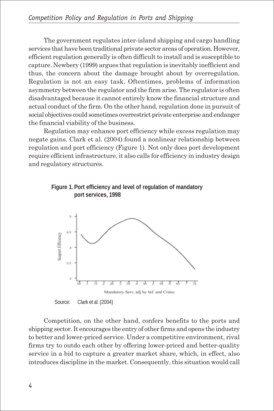The government regulates inter-island shipping and cargo handling services that have been traditional private sector areas of operation. However, efficient regulation generally is often difficult to install and is susceptible to capture. Newbery (1999) argues that regulation is inevitably inefficient and thus, the concern about the damage brought about by overregulation. Regulation is not an easy task. Oftentimes, problems of information asymmetry between the regulator and the firm arise. The regulator is often disadvantaged because it cannot entirely know the financial structure and actual conduct of the firm. On the other hand, regulation done in pursuit of social objectives could sometimes overrestrict private enterprise and endanger the financial viability of the business.

Regulation may enhance port efficiency while excess regulation may negate gains. Clark et al. (2004) found a nonlinear relationship between regulation and port efficiency (Figure 1). Not only does port development require efficient infrastructure, it also calls for efficiency in industry design and regulatory structures.





Competition, on the other hand, confers benefits to the ports and shipping sector. It encourages the entry of other firms and opens the industry to better and lower-priced service. Under a competitive environment, rival firms try to outdo each other by offering lower-priced and better-quality service in a bid to capture a greater market share, which, in effect, also introduces discipline in the market. Consequently, this situation would call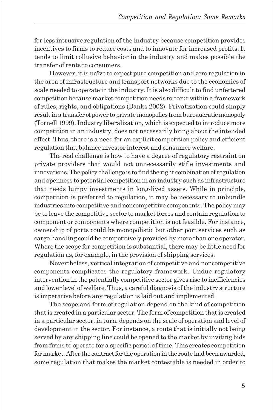for less intrusive regulation of the industry because competition provides incentives to firms to reduce costs and to innovate for increased profits. It tends to limit collusive behavior in the industry and makes possible the transfer of rents to consumers.

However, it is naïve to expect pure competition and zero regulation in the area of infrastructure and transport networks due to the economies of scale needed to operate in the industry. It is also difficult to find unfettered competition because market competition needs to occur within a framework of rules, rights, and obligations (Banks 2002). Privatization could simply result in a transfer of power to private monopolies from bureaucratic monopoly (Tornell 1999). Industry liberalization, which is expected to introduce more competition in an industry, does not necessarily bring about the intended effect. Thus, there is a need for an explicit competition policy and efficient regulation that balance investor interest and consumer welfare.

The real challenge is how to have a degree of regulatory restraint on private providers that would not unnecessarily stifle investments and innovations. The policy challenge is to find the right combination of regulation and openness to potential competition in an industry such as infrastructure that needs lumpy investments in long-lived assets. While in principle, competition is preferred to regulation, it may be necessary to unbundle industries into competitive and noncompetitive components. The policy may be to leave the competitive sector to market forces and contain regulation to component or components where competition is not feasible. For instance, ownership of ports could be monopolistic but other port services such as cargo handling could be competitively provided by more than one operator. Where the scope for competition is substantial, there may be little need for regulation as, for example, in the provision of shipping services.

Nevertheless, vertical integration of competitive and noncompetitive components complicates the regulatory framework. Undue regulatory intervention in the potentially competitive sector gives rise to inefficiencies and lower level of welfare. Thus, a careful diagnosis of the industry structure is imperative before any regulation is laid out and implemented.

The scope and form of regulation depend on the kind of competition that is created in a particular sector. The form of competition that is created in a particular sector, in turn, depends on the scale of operation and level of development in the sector. For instance, a route that is initially not being served by any shipping line could be opened to the market by inviting bids from firms to operate for a specific period of time. This creates competition for market. After the contract for the operation in the route had been awarded, some regulation that makes the market contestable is needed in order to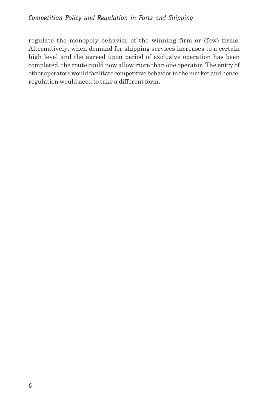regulate the monopoly behavior of the winning firm or (few) firms. Alternatively, when demand for shipping services increases to a certain high level and the agreed upon period of exclusive operation has been completed, the route could now allow more than one operator. The entry of other operators would facilitate competitive behavior in the market and hence, regulation would need to take a different form.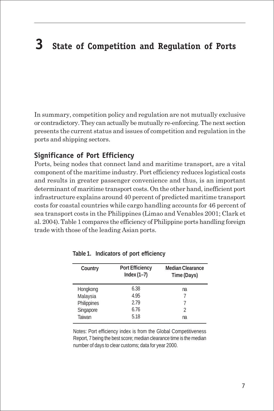# **3 State of Competition and Regulation of Ports**

In summary, competition policy and regulation are not mutually exclusive or contradictory. They can actually be mutually re-enforcing. The next section presents the current status and issues of competition and regulation in the ports and shipping sectors.

#### **Significance of Port Efficiency**

Ports, being nodes that connect land and maritime transport, are a vital component of the maritime industry. Port efficiency reduces logistical costs and results in greater passenger convenience and thus, is an important determinant of maritime transport costs. On the other hand, inefficient port infrastructure explains around 40 percent of predicted maritime transport costs for coastal countries while cargo handling accounts for 46 percent of sea transport costs in the Philippines (Limao and Venables 2001; Clark et al. 2004). Table 1 compares the efficiency of Philippine ports handling foreign trade with those of the leading Asian ports.

| Country     | <b>Port Efficiency</b><br>Index $(1-7)$ | <b>Median Clearance</b><br>Time (Days) |
|-------------|-----------------------------------------|----------------------------------------|
| Hongkong    | 6.38                                    | na                                     |
| Malaysia    | 4.95                                    |                                        |
| Philippines | 279                                     |                                        |
| Singapore   | 6.76                                    | 2                                      |
| Taiwan      | 5.18                                    | na                                     |

**Table 1. Indicators of port efficiency**

Notes: Port efficiency index is from the Global Competitiveness Report, 7 being the best score; median clearance time is the median number of days to clear customs; data for year 2000.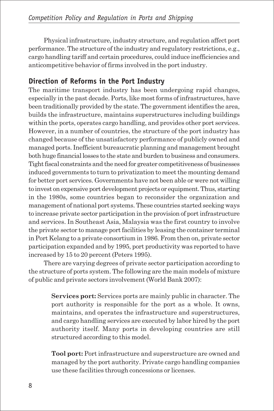Physical infrastructure, industry structure, and regulation affect port performance. The structure of the industry and regulatory restrictions, e.g., cargo handling tariff and certain procedures, could induce inefficiencies and anticompetitive behavior of firms involved in the port industry.

## **Direction of Reforms in the Port Industry**

The maritime transport industry has been undergoing rapid changes, especially in the past decade. Ports, like most forms of infrastructures, have been traditionally provided by the state. The government identifies the area, builds the infrastructure, maintains superstructures including buildings within the ports, operates cargo handling, and provides other port services. However, in a number of countries, the structure of the port industry has changed because of the unsatisfactory performance of publicly owned and managed ports. Inefficient bureaucratic planning and management brought both huge financial losses to the state and burden to business and consumers. Tight fiscal constraints and the need for greater competitiveness of businesses induced governments to turn to privatization to meet the mounting demand for better port services. Governments have not been able or were not willing to invest on expensive port development projects or equipment. Thus, starting in the 1980s, some countries began to reconsider the organization and management of national port systems. These countries started seeking ways to increase private sector participation in the provision of port infrastructure and services. In Southeast Asia, Malaysia was the first country to involve the private sector to manage port facilities by leasing the container terminal in Port Kelang to a private consortium in 1986. From then on, private sector participation expanded and by 1995, port productivity was reported to have increased by 15 to 20 percent (Peters 1995).

There are varying degrees of private sector participation according to the structure of ports system. The following are the main models of mixture of public and private sectors involvement (World Bank 2007):

> **Services port:** Services ports are mainly public in character. The port authority is responsible for the port as a whole. It owns, maintains, and operates the infrastructure and superstructures, and cargo handling services are executed by labor hired by the port authority itself. Many ports in developing countries are still structured according to this model.

> **Tool port:** Port infrastructure and superstructure are owned and managed by the port authority. Private cargo handling companies use these facilities through concessions or licenses.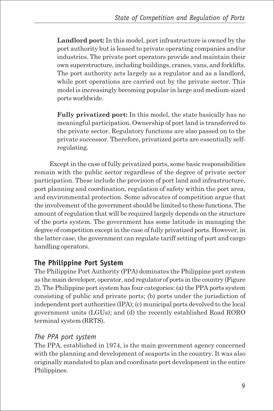**Landlord port:** In this model, port infrastructure is owned by the port authority but is leased to private operating companies and/or industries. The private port operators provide and maintain their own superstructure, including buildings, cranes, vans, and forklifts. The port authority acts largely as a regulator and as a landlord, while port operations are carried out by the private sector. This model is increasingly becoming popular in large and medium-sized ports worldwide.

**Fully privatized port:** In this model, the state basically has no meaningful participation. Ownership of port land is transferred to the private sector. Regulatory functions are also passed on to the private successor. Therefore, privatized ports are essentially selfregulating.

Except in the case of fully privatized ports, some basic responsibilities remain with the public sector regardless of the degree of private sector participation. These include the provision of port land and infrastructure, port planning and coordination, regulation of safety within the port area, and environmental protection. Some advocates of competition argue that the involvement of the government should be limited to these functions. The amount of regulation that will be required largely depends on the structure of the ports system. The government has some latitude in managing the degree of competition except in the case of fully privatized ports. However, in the latter case, the government can regulate tariff setting of port and cargo handling operators.

## **The Philippine Port System**

The Philippine Port Authority (PPA) dominates the Philippine port system as the main developer, operator, and regulator of ports in the country (Figure 2). The Philippine port system has four categories: (a) the PPA ports system consisting of public and private ports; (b) ports under the jurisdiction of independent port authorities (IPA); (c) municipal ports devolved to the local government units (LGUs); and (d) the recently established Road RORO terminal system (RRTS).

## *The PPA port system*

The PPA, established in 1974, is the main government agency concerned with the planning and development of seaports in the country. It was also originally mandated to plan and coordinate port development in the entire Philippines.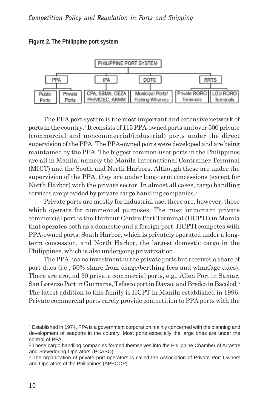**Figure 2. The Philippine port system**



The PPA port system is the most important and extensive network of ports in the country.1 It consists of 115 PPA-owned ports and over 500 private (commercial and noncommercial/industrial) ports under the direct supervision of the PPA. The PPA-owned ports were developed and are being maintained by the PPA. The biggest common-user ports in the Philippines are all in Manila, namely the Manila International Contrainer Terminal (MICT) and the South and North Harbors. Although these are under the supervision of the PPA, they are under long-term concessions (except for North Harbor) with the private sector. In almost all cases, cargo handling services are provided by private cargo handling companies.<sup>2</sup>

Private ports are mostly for industrial use; there are, however, those which operate for commercial purposes. The most important private commercial port is the Harbour Centre Port Terminal (HCPTI) in Manila that operates both as a domestic and a foreign port. HCPTI competes with PPA-owned ports: South Harbor, which is privately operated under a longterm concession, and North Harbor, the largest domestic cargo in the Philippines, which is also undergoing privatization.

The PPA has no investment in the private ports but receives a share of port dues (i.e., 50% share from usage/berthing fees and wharfage dues). There are around 30 private commercial ports, e.g., Allen Port in Samar, San Lorenzo Port in Guimaras, Tefasco port in Davao, and Bredco in Bacolod.<sup>3</sup> The latest addition to this family is HCPT in Manila established in 1996. Private commercial ports rarely provide competition to PPA ports with the

<sup>1</sup> Established in 1974, PPA is a government corporation mainly concerned with the planning and development of seaports in the country. Most ports especially the large ones are under the control of PPA.

<sup>&</sup>lt;sup>2</sup> These cargo handling companies formed themselves into the Philippine Chamber of Arrastre and Stevedoring Operators (PCASO).

<sup>&</sup>lt;sup>3</sup> The organization of private port operators is called the Association of Private Port Owners and Operators of the Philippines (APPOOP).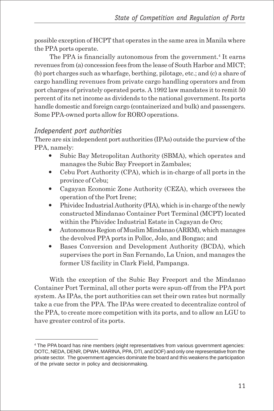possible exception of HCPT that operates in the same area in Manila where the PPA ports operate.

The PPA is financially autonomous from the government.<sup>4</sup> It earns revenues from (a) concession fees from the lease of South Harbor and MICT; (b) port charges such as wharfage, berthing, pilotage, etc.; and (c) a share of cargo handling revenues from private cargo handling operators and from port charges of privately operated ports. A 1992 law mandates it to remit 50 percent of its net income as dividends to the national government. Its ports handle domestic and foreign cargo (containerized and bulk) and passengers. Some PPA-owned ports allow for RORO operations.

## *Independent port authorities*

There are six independent port authorities (IPAs) outside the purview of the PPA, namely:

- Subic Bay Metropolitan Authority (SBMA), which operates and manages the Subic Bay Freeport in Zambales;
- $\bullet$  Cebu Port Authority (CPA), which is in-charge of all ports in the province of Cebu;
- Cagayan Economic Zone Authority (CEZA), which oversees the operation of the Port Irene;
- $\bullet$  Phividec Industrial Authority (PIA), which is in-charge of the newly constructed Mindanao Container Port Terminal (MCPT) located within the Phividec Industrial Estate in Cagayan de Oro;
- Autonomous Region of Muslim Mindanao (ARRM), which manages the devolved PPA ports in Polloc, Jolo, and Bongao; and
- Bases Conversion and Development Authority (BCDA), which supervises the port in San Fernando, La Union, and manages the former US facility in Clark Field, Pampanga.

With the exception of the Subic Bay Freeport and the Mindanao Container Port Terminal, all other ports were spun-off from the PPA port system. As IPAs, the port authorities can set their own rates but normally take a cue from the PPA. The IPAs were created to decentralize control of the PPA, to create more competition with its ports, and to allow an LGU to have greater control of its ports.

<sup>4</sup> The PPA board has nine members (eight representatives from various government agencies: DOTC, NEDA, DENR, DPWH, MARINA, PPA, DTI, and DOF) and only one representative from the private sector. The government agencies dominate the board and this weakens the participation of the private sector in policy and decisionmaking.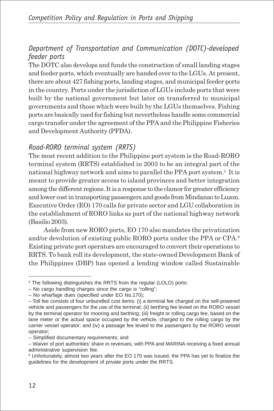## *Department of Transportation and Communication (DOTC)-developed feeder ports*

The DOTC also develops and funds the construction of small landing stages and feeder ports, which eventually are handed over to the LGUs. At present, there are about 427 fishing ports, landing stages, and municipal feeder ports in the country. Ports under the jurisdiction of LGUs include ports that were built by the national government but later on transferred to municipal governments and those which were built by the LGUs themselves. Fishing ports are basically used for fishing but nevertheless handle some commercial cargo transfer under the agreement of the PPA and the Philippine Fisheries and Development Authority (PFDA).

## *Road-RORO terminal system (RRTS)*

The most recent addition to the Philippine port system is the Road-RORO terminal system (RRTS) established in 2003 to be an integral part of the national highway network and aims to parallel the PPA port system.<sup>5</sup> It is meant to provide greater access to island provinces and better integration among the different regions. It is a response to the clamor for greater efficiency and lower cost in transporting passengers and goods from Mindanao to Luzon. Executive Order (EO) 170 calls for private sector and LGU collaboration in the establishment of RORO links as part of the national highway network (Basilio 2003).

Aside from new RORO ports, EO 170 also mandates the privatization and/or devolution of existing public RORO ports under the PPA or CPA.<sup>6</sup> Existing private port operators are encouraged to convert their operations to RRTS. To bank roll its development, the state-owned Development Bank of the Philippines (DBP) has opened a lending window called Sustainable

<sup>&</sup>lt;sup>5</sup> The following distinguishes the RRTS from the regular (LOLO) ports:

<sup>–</sup> No cargo handling charges since the cargo is "rolling";

<sup>–</sup> No wharfage dues (specified under EO No.170);

<sup>–</sup> Toll fee consists of four unbundled cost items: (i) a terminal fee charged on the self-powered vehicle and passengers for the use of the terminal; (ii) berthing fee levied on the RORO vessel by the terminal operator for mooring and berthing; (iii) freight or rolling cargo fee, based on the lane meter or the actual space occupied by the vehicle, charged to the rolling cargo by the carrier vessel operator; and (iv) a passage fee levied to the passengers by the RORO vessel operator;

<sup>–</sup> Simplified documentary requirements; and

<sup>–</sup> Waiver of port authorities' share in revenues, with PPA and MARINA receiving a fixed annual administrative supervision fee.

<sup>6</sup> Unfortunately, almost two years after the EO 170 was issued, the PPA has yet to finalize the guidelines for the development of private ports under the RRTS.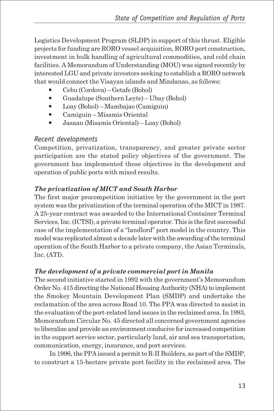Logistics Development Program (SLDP) in support of this thrust. Eligible projects for funding are RORO vessel acquisition, RORO port construction, investment in bulk handling of agricultural commodities, and cold chain facilities. A Memorandum of Understanding (MOU) was signed recently by interested LGU and private investors seeking to establish a RORO network that would connect the Visayan islands and Mindanao, as follows:

- y Cebu (Cordova) Getafe (Bohol)
- y Guadalupe (Southern Leyte) Ubay (Bohol)
- y Loay (Bohol) Mambajao (Camiguin)
- Camiguin Misamis Oriental
- y Jasaan (Misamis Oriental) Loay (Bohol)

### *Recent developments*

Competition, privatization, transparency, and greater private sector participation are the stated policy objectives of the government. The government has implemented these objectives in the development and operation of public ports with mixed results.

## *The privatization of MICT and South Harbor*

The first major procompetition initiative by the government in the port system was the privatization of the terminal operation of the MICT in 1987. A 25-year contract was awarded to the International Container Terminal Services, Inc. (ICTSI), a private terminal operator. This is the first successful case of the implementation of a "landlord" port model in the country. This model was replicated almost a decade later with the awarding of the terminal operation of the South Harbor to a private company, the Asian Terminals, Inc. (ATI).

### *The development of a private commercial port in Manila*

The second initiative started in 1992 with the government's Memorandum Order No. 415 directing the National Housing Authority (NHA) to implement the Smokey Mountain Development Plan (SMDP) and undertake the reclamation of the area across Road 10. The PPA was directed to assist in the evaluation of the port-related land issues in the reclaimed area. In 1993, Memorandum Circular No. 45 directed all concerned government agencies to liberalize and provide an environment conducive for increased competition in the support service sector, particularly land, air and sea transportation, communication, energy, insurance, and port services.

In 1996, the PPA issued a permit to R-II Builders, as part of the SMDP, to construct a 15-hectare private port facility in the reclaimed area. The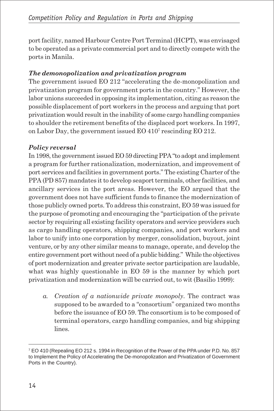port facility, named Harbour Centre Port Terminal (HCPT), was envisaged to be operated as a private commercial port and to directly compete with the ports in Manila.

### *The demonopolization and privatization program*

The government issued EO 212 "accelerating the de-monopolization and privatization program for government ports in the country." However, the labor unions succeeded in opposing its implementation, citing as reason the possible displacement of port workers in the process and arguing that port privatization would result in the inability of some cargo handling companies to shoulder the retirement benefits of the displaced port workers. In 1997, on Labor Day, the government issued EO 410<sup>7</sup> rescinding EO 212.

## *Policy reversal*

In 1998, the government issued EO 59 directing PPA "to adopt and implement a program for further rationalization, modernization, and improvement of port services and facilities in government ports." The existing Charter of the PPA (PD 857) mandates it to develop seaport terminals, other facilities, and ancillary services in the port areas. However, the EO argued that the government does not have sufficient funds to finance the modernization of those publicly owned ports. To address this constraint, EO 59 was issued for the purpose of promoting and encouraging the "participation of the private sector by requiring all existing facility operators and service providers such as cargo handling operators, shipping companies, and port workers and labor to unify into one corporation by merger, consolidation, buyout, joint venture, or by any other similar means to manage, operate, and develop the entire government port without need of a public bidding." While the objectives of port modernization and greater private sector participation are laudable, what was highly questionable in EO 59 is the manner by which port privatization and modernization will be carried out, to wit (Basilio 1999):

*a. Creation of a nationwide private monopoly*. The contract was supposed to be awarded to a "consortium" organized two months before the issuance of EO 59. The consortium is to be composed of terminal operators, cargo handling companies, and big shipping lines.

<sup>7</sup> EO 410 (Repealing EO 212 s. 1994 in Recognition of the Power of the PPA under P.D. No. 857 to Implement the Policy of Accelerating the De-monopolization and Privatization of Government Ports in the Country).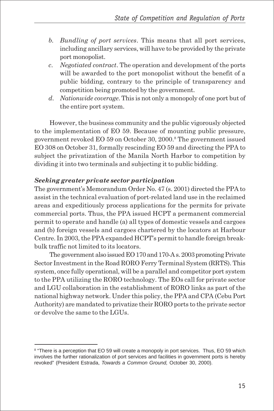- *b. Bundling of port services*. This means that all port services, including ancillary services, will have to be provided by the private port monopolist.
- *c. Negotiated contract*. The operation and development of the ports will be awarded to the port monopolist without the benefit of a public bidding, contrary to the principle of transparency and competition being promoted by the government.
- *d. Nationwide coverage*. This is not only a monopoly of one port but of the entire port system.

However, the business community and the public vigorously objected to the implementation of EO 59. Because of mounting public pressure, government revoked EO 59 on October 30, 2000.8 The government issued EO 308 on October 31, formally rescinding EO 59 and directing the PPA to subject the privatization of the Manila North Harbor to competition by dividing it into two terminals and subjecting it to public bidding.

#### *Seeking greater private sector participation*

The government's Memorandum Order No. 47 (s. 2001) directed the PPA to assist in the technical evaluation of port-related land use in the reclaimed areas and expeditiously process applications for the permits for private commercial ports. Thus, the PPA issued HCPT a permanent commercial permit to operate and handle (a) all types of domestic vessels and cargoes and (b) foreign vessels and cargoes chartered by the locators at Harbour Centre. In 2003, the PPA expanded HCPT's permit to handle foreign breakbulk traffic not limited to its locators.

The government also issued EO 170 and 170-A s. 2003 promoting Private Sector Investment in the Road RORO Ferry Terminal System (RRTS). This system, once fully operational, will be a parallel and competitor port system to the PPA utilizing the RORO technology. The EOs call for private sector and LGU collaboration in the establishment of RORO links as part of the national highway network. Under this policy, the PPA and CPA (Cebu Port Authority) are mandated to privatize their RORO ports to the private sector or devolve the same to the LGUs.

<sup>&</sup>lt;sup>8</sup> "There is a perception that EO 59 will create a monopoly in port services. Thus, EO 59 which involves the further rationalization of port services and facilities in government ports is hereby revoked" (President Estrada, *Towards a Common Ground,* October 30, 2000).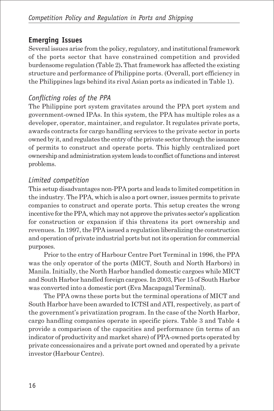## **Emerging Issues**

Several issues arise from the policy, regulatory, and institutional framework of the ports sector that have constrained competition and provided burdensome regulation (Table 2)**.** That framework has affected the existing structure and performance of Philippine ports. (Overall, port efficiency in the Philippines lags behind its rival Asian ports as indicated in Table 1).

## *Conflicting roles of the PPA*

The Philippine port system gravitates around the PPA port system and government-owned IPAs. In this system, the PPA has multiple roles as a developer, operator, maintainer, and regulator. It regulates private ports, awards contracts for cargo handling services to the private sector in ports owned by it, and regulates the entry of the private sector through the issuance of permits to construct and operate ports. This highly centralized port ownership and administration system leads to conflict of functions and interest problems.

## *Limited competition*

This setup disadvantages non-PPA ports and leads to limited competition in the industry. The PPA, which is also a port owner, issues permits to private companies to construct and operate ports. This setup creates the wrong incentive for the PPA, which may not approve the privates sector's application for construction or expansion if this threatens its port ownership and revenues. In 1997, the PPA issued a regulation liberalizing the construction and operation of private industrial ports but not its operation for commercial purposes.

Prior to the entry of Harbour Centre Port Terminal in 1996, the PPA was the only operator of the ports (MICT, South and North Harbors) in Manila. Initially, the North Harbor handled domestic cargoes while MICT and South Harbor handled foreign cargoes. In 2003, Pier 15 of South Harbor was converted into a domestic port (Eva Macapagal Terminal).

The PPA owns these ports but the terminal operations of MICT and South Harbor have been awarded to ICTSI and ATI, respectively, as part of the government's privatization program. In the case of the North Harbor, cargo handling companies operate in specific piers. Table 3 and Table 4 provide a comparison of the capacities and performance (in terms of an indicator of productivity and market share) of PPA-owned ports operated by private concessionaires and a private port owned and operated by a private investor (Harbour Centre).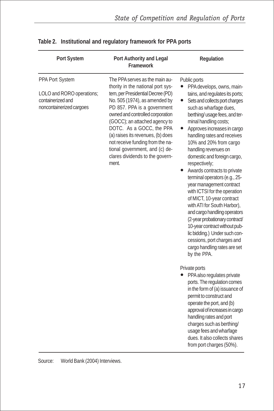| Port System                                                                                   | Port Authority and Legal<br>Framework                                                                                                                                                                                                                                                                                                                                                                                            | Regulation                                                                                                                                                                                                                                                                                                                                                                                                                                                                                                                                                                                                                                                                                                                                                                                             |
|-----------------------------------------------------------------------------------------------|----------------------------------------------------------------------------------------------------------------------------------------------------------------------------------------------------------------------------------------------------------------------------------------------------------------------------------------------------------------------------------------------------------------------------------|--------------------------------------------------------------------------------------------------------------------------------------------------------------------------------------------------------------------------------------------------------------------------------------------------------------------------------------------------------------------------------------------------------------------------------------------------------------------------------------------------------------------------------------------------------------------------------------------------------------------------------------------------------------------------------------------------------------------------------------------------------------------------------------------------------|
| PPA Port System<br>LOLO and RORO operations;<br>containerized and<br>noncontainerized cargoes | The PPA serves as the main au-<br>thority in the national port sys-<br>tem, per Presidential Decree (PD)<br>No. 505 (1974), as amended by<br>PD 857. PPA is a government<br>owned and controlled corporation<br>(GOCC); an attached agency to<br>DOTC. As a GOCC, the PPA<br>(a) raises its revenues, (b) does<br>not receive funding from the na-<br>tional government, and (c) de-<br>clares dividends to the govern-<br>ment. | Public ports<br>PPA develops, owns, main-<br>tains, and regulates its ports;<br>Sets and collects port charges<br>$\bullet$<br>such as wharfage dues,<br>berthing/ usage fees, and ter-<br>minal handling costs;<br>Approves increases in cargo<br>handling rates and receives<br>10% and 20% from cargo<br>handling revenues on<br>domestic and foreign cargo,<br>respectively;<br>Awards contracts to private<br>$\bullet$<br>terminal operators (e.g., 25-<br>year management contract<br>with ICTSI for the operation<br>of MICT, 10-year contract<br>with ATI for South Harbor),<br>and cargo handling operators<br>(2-year probationary contract/<br>10-year contract without pub-<br>lic bidding.) Under such con-<br>cessions, port charges and<br>cargo handling rates are set<br>by the PPA. |
|                                                                                               |                                                                                                                                                                                                                                                                                                                                                                                                                                  | Private ports<br>PPA also regulates private<br>ports. The regulation comes<br>in the form of (a) issuance of<br>permit to construct and<br>operate the port, and (b)<br>approval of increases in cargo<br>handling rates and port<br>charges such as berthing/<br>usage fees and wharfage<br>dues. It also collects shares<br>from port charges (50%).                                                                                                                                                                                                                                                                                                                                                                                                                                                 |

|  |  | Table 2. Institutional and regulatory framework for PPA ports |  |  |
|--|--|---------------------------------------------------------------|--|--|
|--|--|---------------------------------------------------------------|--|--|

Source: World Bank (2004) Interviews.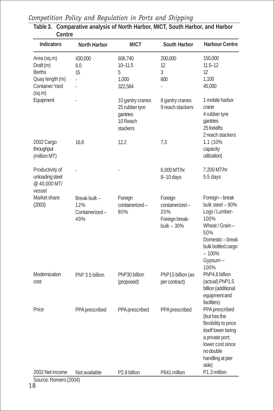| Նելյու                                                                                          |                                              |                                                                        |                                                                   |                                                                                                                                                               |
|-------------------------------------------------------------------------------------------------|----------------------------------------------|------------------------------------------------------------------------|-------------------------------------------------------------------|---------------------------------------------------------------------------------------------------------------------------------------------------------------|
| <b>Indicators</b>                                                                               | North Harbor                                 | <b>MICT</b>                                                            | South Harbor                                                      | <b>Harbour Centre</b>                                                                                                                                         |
| Area (sq.m)<br>Draft (m)<br><b>Berths</b><br>Quay length (m)<br><b>Container Yard</b><br>(sq.m) | 430,000<br>6.0<br>15                         | 606,740<br>$10 - 11.5$<br>5<br>1,000<br>322,584                        | 200,000<br>12<br>3<br>600<br>L.                                   | 150,000<br>$11.5 - 12$<br>12<br>1.100<br>45,000                                                                                                               |
| Equipment                                                                                       |                                              | 10 gantry cranes<br>25 rubber tyre<br>gantries<br>10 Reach<br>stackers | 8 gantry cranes<br>9 reach stackers                               | 1 mobile harbor<br>crane<br>4 rubber tyre<br>gantries<br>25 forklifts<br>2 reach stackers                                                                     |
| 2002 Cargo<br>throughput<br>(million MT)                                                        | 16.8                                         | 12.2                                                                   | 7.3                                                               | 1.1 (10%<br>capacity<br>utilization)                                                                                                                          |
| Productivity of<br>unloading steel<br>@40,000 MT/<br>vessel                                     |                                              |                                                                        | 6,000 MT/hr<br>8-10 days                                          | 7,200 MT/hr<br>5.5 days                                                                                                                                       |
| Market share<br>(2003)                                                                          | Break bulk -<br>12%<br>Containerized-<br>49% | Foreign<br>containerized-<br>80%                                       | Foreign<br>containerized-<br>20%<br>Foreign break-<br>bulk $-30%$ | Foreign-break<br>bulk steel - 90%<br>Logs / Lumber-<br>100%<br>Wheat / Grain -<br>50%<br>Domestic-break<br>bulk bottled cargo<br>$-100%$<br>Gypsum -<br>100%  |
| Modernization<br>cost                                                                           | PhP 3.5 billion                              | PhP30 billion<br>(proposed)                                            | PhP15 billion (as<br>per contract)                                | PhP4.8 billion<br>(actual) PhP1.5<br>billion (additional<br>equipment and<br>facilities)                                                                      |
| Price                                                                                           | PPA prescribed                               | PPA prescribed                                                         | PPA prescribed                                                    | PPA prescribed<br>(but has the<br>flexibility to price<br>itself lower being<br>a private port;<br>lower cost since<br>no double<br>handling at pier<br>side) |
| 2002 Net income                                                                                 | Not available                                | P2.8 billion                                                           | P641 million                                                      | P1.3 million                                                                                                                                                  |

| Competition Policy and Regulation in Ports and Shipping |  |  |  |  |  |  |  |
|---------------------------------------------------------|--|--|--|--|--|--|--|
|---------------------------------------------------------|--|--|--|--|--|--|--|

**Table 3. Comparative analysis of North Harbor, MICT, South Harbor, and Harbor Centre**

Source: Romero (2004)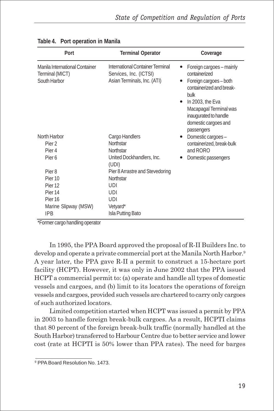| Port                                                              | <b>Terminal Operator</b>                                                                  | Coverage                                                                                                                                                                                                                               |
|-------------------------------------------------------------------|-------------------------------------------------------------------------------------------|----------------------------------------------------------------------------------------------------------------------------------------------------------------------------------------------------------------------------------------|
| Manila International Container<br>Terminal (MICT)<br>South Harbor | International Container Terminal<br>Services, Inc. (ICTSI)<br>Asian Terminals, Inc. (ATI) | Foreign cargoes - mainly<br>٠<br>containerized<br>Foreign cargoes - both<br>containerized and break-<br>bulk<br>In 2003, the Eva<br>$\bullet$<br>Macapagal Terminal was<br>inaugurated to handle<br>domestic cargoes and<br>passengers |
| North Harbor                                                      | Cargo Handlers                                                                            | Domestic cargoes-                                                                                                                                                                                                                      |
| Pier <sub>2</sub><br>Pier <sub>4</sub>                            | Northstar<br>Northstar                                                                    | containerized, break-bulk<br>and RORO                                                                                                                                                                                                  |
| Pier 6                                                            | United Dockhandlers, Inc.<br>(UDI)                                                        | Domestic passengers                                                                                                                                                                                                                    |
| Pier <sub>8</sub>                                                 | Pier 8 Arrastre and Stevedoring                                                           |                                                                                                                                                                                                                                        |
| Pier <sub>10</sub>                                                | Northstar                                                                                 |                                                                                                                                                                                                                                        |
| Pier <sub>12</sub>                                                | UDI                                                                                       |                                                                                                                                                                                                                                        |
| Pier <sub>14</sub>                                                | UDI                                                                                       |                                                                                                                                                                                                                                        |
| Pier <sub>16</sub>                                                | UDI                                                                                       |                                                                                                                                                                                                                                        |
| Marine Slipway (MSW)                                              | Vetyard*                                                                                  |                                                                                                                                                                                                                                        |
| <b>IPB</b>                                                        | Isla Putting Bato                                                                         |                                                                                                                                                                                                                                        |

|  |  | Table 4. Port operation in Manila |  |  |
|--|--|-----------------------------------|--|--|
|--|--|-----------------------------------|--|--|

\*Former cargo handling operator

In 1995, the PPA Board approved the proposal of R-II Builders Inc. to develop and operate a private commercial port at the Manila North Harbor.<sup>9</sup> A year later, the PPA gave R-II a permit to construct a 15-hectare port facility (HCPT). However, it was only in June 2002 that the PPA issued HCPT a commercial permit to: (a) operate and handle all types of domestic vessels and cargoes, and (b) limit to its locators the operations of foreign vessels and cargoes, provided such vessels are chartered to carry only cargoes of such authorized locators.

Limited competition started when HCPT was issued a permit by PPA in 2003 to handle foreign break-bulk cargoes. As a result, HCPTI claims that 80 percent of the foreign break-bulk traffic (normally handled at the South Harbor) transferred to Harbour Centre due to better service and lower cost (rate at HCPTI is 50% lower than PPA rates). The need for barges

<sup>&</sup>lt;sup>9</sup> PPA Board Resolution No. 1473.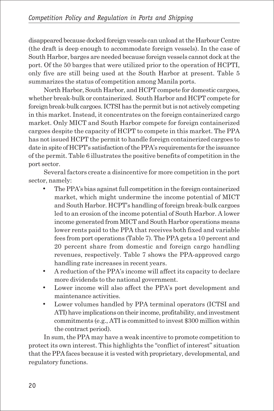disappeared because docked foreign vessels can unload at the Harbour Centre (the draft is deep enough to accommodate foreign vessels). In the case of South Harbor, barges are needed because foreign vessels cannot dock at the port. Of the 50 barges that were utilized prior to the operation of HCPTI, only five are still being used at the South Harbor at present. Table 5 summarizes the status of competition among Manila ports.

North Harbor, South Harbor, and HCPT compete for domestic cargoes, whether break-bulk or containerized. South Harbor and HCPT compete for foreign break-bulk cargoes. ICTSI has the permit but is not actively competing in this market. Instead, it concentrates on the foreign containerized cargo market. Only MICT and South Harbor compete for foreign containerized cargoes despite the capacity of HCPT to compete in this market. The PPA has not issued HCPT the permit to handle foreign containerized cargoes to date in spite of HCPT's satisfaction of the PPA's requirements for the issuance of the permit. Table 6 illustrates the positive benefits of competition in the port sector.

Several factors create a disincentive for more competition in the port sector, namely:

- The PPA's bias against full competition in the foreign containerized market, which might undermine the income potential of MICT and South Harbor. HCPT's handling of foreign break-bulk cargoes led to an erosion of the income potential of South Harbor. A lower income generated from MICT and South Harbor operations means lower rents paid to the PPA that receives both fixed and variable fees from port operations (Table 7). The PPA gets a 10 percent and 20 percent share from domestic and foreign cargo handling revenues, respectively. Table 7 shows the PPA-approved cargo handling rate increases in recent years.
- A reduction of the PPA's income will affect its capacity to declare more dividends to the national government.
- Lower income will also affect the PPA's port development and maintenance activities.
- Lower volumes handled by PPA terminal operators (ICTSI and ATI) have implications on their income, profitability, and investment commitments (e.g., ATI is committed to invest \$300 million within the contract period).

In sum, the PPA may have a weak incentive to promote competition to protect its own interest. This highlights the "conflict of interest" situation that the PPA faces because it is vested with proprietary, developmental, and regulatory functions.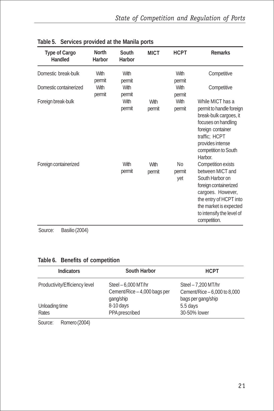| Type of Cargo<br>Handled | <b>North</b><br>Harbor | South<br>Harbor | <b>MICT</b>    | <b>HCPT</b>         | <b>Remarks</b>                                                                                                                                                                                           |
|--------------------------|------------------------|-----------------|----------------|---------------------|----------------------------------------------------------------------------------------------------------------------------------------------------------------------------------------------------------|
| Domestic break-bulk      | With<br>permit         | With<br>permit  |                | With<br>permit      | Competitive                                                                                                                                                                                              |
| Domestic containerized   | With<br>permit         | With<br>permit  |                | With<br>permit      | Competitive                                                                                                                                                                                              |
| Foreign break-bulk       |                        | With<br>permit  | With<br>permit | With<br>permit      | While MICT has a<br>permit to handle foreign<br>break-bulk cargoes, it<br>focuses on handling<br>foreign container<br>traffic: HCPT<br>provides intense<br>competition to South<br>Harbor.               |
| Foreign containerized    |                        | With<br>permit  | With<br>permit | No<br>permit<br>yet | Competition exists<br>between MICT and<br>South Harbor on<br>foreign containerized<br>cargoes. However,<br>the entry of HCPT into<br>the market is expected<br>to intensify the level of<br>competition. |

| Table 5. Services provided at the Manila ports |  |  |
|------------------------------------------------|--|--|
|                                                |  |  |

Source: Basilio (2004)

#### **Table 6. Benefits of competition**

| South Harbor                                                     | <b>HCPT</b>                                                                |  |  |
|------------------------------------------------------------------|----------------------------------------------------------------------------|--|--|
| Steel - 6,000 MT/hr<br>Cement/Rice - 4,000 bags per<br>gang/ship | Steel - 7,200 MT/hr<br>Cement/Rice $-6,000$ to 8,000<br>bags per gang/ship |  |  |
| 8-10 days                                                        | 5.5 days                                                                   |  |  |
| PPA prescribed                                                   | 30-50% lower                                                               |  |  |
|                                                                  |                                                                            |  |  |

Source: Romero (2004)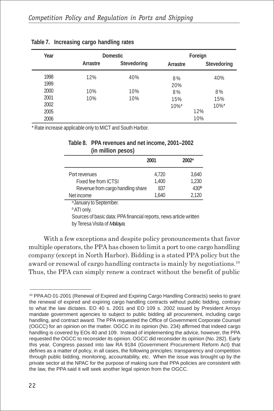| Year |          | <b>Domestic</b> | Foreign  |             |  |  |
|------|----------|-----------------|----------|-------------|--|--|
|      | Arrastre | Stevedoring     | Arrastre | Stevedoring |  |  |
| 1998 | 12%      | 40%             | 8%       | 40%         |  |  |
| 1999 |          |                 | 20%      |             |  |  |
| 2000 | 10%      | 10%             | 8%       | 8%          |  |  |
| 2001 | 10%      | 10%             | 15%      | 15%         |  |  |
| 2002 |          |                 | $10\%$ * | $10\%$ *    |  |  |
| 2005 |          |                 |          | 12%         |  |  |
| 2006 |          |                 |          | 10%         |  |  |

#### **Table 7. Increasing cargo handling rates**

\* Rate increase applicable only to MICT and South Harbor.

#### **Table 8. PPA revenues and net income, 2001–2002 (in million pesos)**

|                                    | 2001  | $2002^{\circ}$   |
|------------------------------------|-------|------------------|
| Port revenues                      | 4.720 | 3.640            |
| Fixed fee from ICTSI               | 1.400 | 1,230            |
| Revenue from cargo handling share  | 837   | 430 <sup>b</sup> |
| Net income                         | 1.640 | 2.120            |
| <sup>a</sup> January to September. |       |                  |

*b* ATI only.

Sources of basic data: PPA financial reports, news article written by Teresa Visita of *Malaya*.

With a few exceptions and despite policy pronouncements that favor multiple operators, the PPA has chosen to limit a port to one cargo handling company (except in North Harbor). Bidding is a stated PPA policy but the award or renewal of cargo handling contracts is mainly by negotiations.10 Thus, the PPA can simply renew a contract without the benefit of public

<sup>10</sup> PPA AO 01-2001 (Renewal of Expired and Expiring Cargo Handling Contracts) seeks to grant the renewal of expired and expiring cargo handling contracts without public bidding, contrary to what the law dictates. EO 40 s. 2001 and EO 109 s. 2002 issued by President Arroyo mandate government agencies to subject to public bidding all procurement, including cargo handling, and contract award. The PPA requested the Office of Government Corporate Counsel (OGCC) for an opinion on the matter. OGCC in its opinion (No. 234) affirmed that indeed cargo handling is covered by EOs 40 and 109. Instead of implementing the advice, however, the PPA requested the OGCC to reconsider its opinion. OGCC did reconsider its opinion (No. 282). Early this year, Congress passed into law RA 9184 (Government Procurement Reform Act) that defines as a matter of policy, in all cases, the following principles: transparency and competition through public bidding, monitoring, accountability, etc. When the issue was brought up by the private sector at the NPAC for the purpose of making sure that PPA policies are consistent with the law, the PPA said it will seek another legal opinion from the OGCC.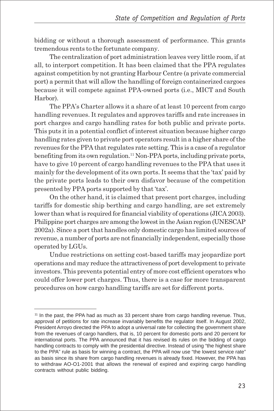bidding or without a thorough assessment of performance. This grants tremendous rents to the fortunate company.

The centralization of port administration leaves very little room, if at all, to interport competition. It has been claimed that the PPA regulates against competition by not granting Harbour Centre (a private commercial port) a permit that will allow the handling of foreign containerized cargoes because it will compete against PPA-owned ports (i.e., MICT and South Harbor).

The PPA's Charter allows it a share of at least 10 percent from cargo handling revenues. It regulates and approves tariffs and rate increases in port charges and cargo handling rates for both public and private ports. This puts it in a potential conflict of interest situation because higher cargo handling rates given to private port operators result in a higher share of the revenues for the PPA that regulates rate setting. This is a case of a regulator benefiting from its own regulation.<sup>11</sup> Non-PPA ports, including private ports, have to give 10 percent of cargo handling revenues to the PPA that uses it mainly for the development of its own ports. It seems that the 'tax' paid by the private ports leads to their own disfavor because of the competition presented by PPA ports supported by that 'tax'.

On the other hand, it is claimed that present port charges, including tariffs for domestic ship berthing and cargo handling, are set extremely lower than what is required for financial viability of operations (JICA 2003). Philippine port charges are among the lowest in the Asian region (UNESCAP 2002a). Since a port that handles only domestic cargo has limited sources of revenue, a number of ports are not financially independent, especially those operated by LGUs.

Undue restrictions on setting cost-based tariffs may jeopardize port operations and may reduce the attractiveness of port development to private investors. This prevents potential entry of more cost efficient operators who could offer lower port charges. Thus, there is a case for more transparent procedures on how cargo handling tariffs are set for different ports.

<sup>&</sup>lt;sup>11</sup> In the past, the PPA had as much as 33 percent share from cargo handling revenue. Thus, approval of petitions for rate increase invariably benefits the regulator itself. In August 2002, President Arroyo directed the PPA to adopt a universal rate for collecting the government share from the revenues of cargo handlers, that is, 10 percent for domestic ports and 20 percent for international ports. The PPA announced that it has revised its rules on the bidding of cargo handling contracts to comply with the presidential directive. Instead of using "the highest share to the PPA" rule as basis for winning a contract, the PPA will now use "the lowest service rate" as basis since its share from cargo handling revenues is already fixed. However, the PPA has to withdraw AO-O1-2001 that allows the renewal of expired and expiring cargo handling contracts without public bidding.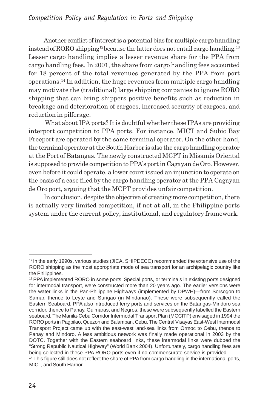Another conflict of interest is a potential bias for multiple cargo handling instead of RORO shipping<sup>12</sup> because the latter does not entail cargo handling.<sup>13</sup> Lesser cargo handling implies a lesser revenue share for the PPA from cargo handling fees. In 2001, the share from cargo handling fees accounted for 18 percent of the total revenues generated by the PPA from port operations.14 In addition, the huge revenues from multiple cargo handling may motivate the (traditional) large shipping companies to ignore RORO shipping that can bring shippers positive benefits such as reduction in breakage and deterioration of cargoes, increased security of cargoes, and reduction in pilferage.

 What about IPA ports? It is doubtful whether these IPAs are providing interport competition to PPA ports. For instance, MICT and Subic Bay Freeport are operated by the same terminal operator. On the other hand, the terminal operator at the South Harbor is also the cargo handling operator at the Port of Batangas. The newly constructed MCPT in Misamis Oriental is supposed to provide competition to PPA's port in Cagayan de Oro. However, even before it could operate, a lower court issued an injunction to operate on the basis of a case filed by the cargo handling operator at the PPA Cagayan de Oro port, arguing that the MCPT provides unfair competition.

In conclusion, despite the objective of creating more competition, there is actually very limited competition, if not at all, in the Philippine ports system under the current policy, institutional, and regulatory framework.

<sup>&</sup>lt;sup>12</sup> In the early 1990s, various studies (JICA, SHIPDECO) recommended the extensive use of the RORO shipping as the most appropriate mode of sea transport for an archipelagic country like the Philippines.

<sup>&</sup>lt;sup>13</sup> PPA implemented RORO in some ports. Special ports, or terminals in existing ports designed for intermodal transport, were constructed more than 20 years ago. The earlier versions were the water links in the Pan-Philippine Highways (implemented by DPWH)—from Sorsogon to Samar, thence to Leyte and Surigao (in Mindanao). These were subsequently called the Eastern Seaboard. PPA also introduced ferry ports and services on the Batangas-Mindoro sea corridor, thence to Panay, Guimaras, and Negros; these were subsequently labelled the Eastern seaboard. The Manila-Cebu Corridor Intermodal Transport Plan (MCCITP) envisaged in 1994 the RORO ports in Pagbilao, Quezon and Balamban, Cebu. The Central Visayas East-West Intermodal Transport Project came up with the east-west land-sea links from Ormoc to Cebu, thence to Panay and Mindoro. A less ambitious network was finally made operational in 2003 by the DOTC. Together with the Eastern seaboard links, these intermodal links were dubbed the "Strong Republic Nautical Highway" (World Bank 2004). Unfortunately, cargo handling fees are being collected in these PPA RORO ports even if no commensurate service is provided.

<sup>&</sup>lt;sup>14</sup> This figure still does not reflect the share of PPA from cargo handling in the international ports, MICT, and South Harbor.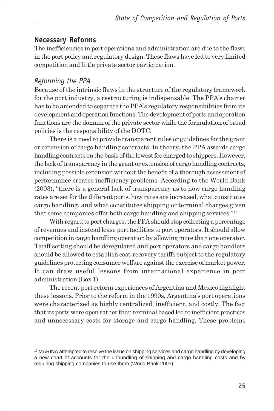## **Necessary Reforms**

The inefficiencies in port operations and administration are due to the flaws in the port policy and regulatory design. These flaws have led to very limited competition and little private sector participation.

### *Reforming the PPA*

Because of the intrinsic flaws in the structure of the regulatory framework for the port industry, a restructuring is indispensable. The PPA's charter has to be amended to separate the PPA's regulatory responsibilities from its development and operation functions. The development of ports and operation functions are the domain of the private sector while the formulation of broad policies is the responsibility of the DOTC.

There is a need to provide transparent rules or guidelines for the grant or extension of cargo handling contracts. In theory, the PPA awards cargo handling contracts on the basis of the lowest fee charged to shippers. However, the lack of transparency in the grant or extension of cargo handling contracts, including possible extension without the benefit of a thorough assessment of performance creates inefficiency problems. According to the World Bank (2003), "there is a general lack of transparency as to how cargo handling rates are set for the different ports, how rates are increased, what constitutes cargo handling, and what constitutes shipping or terminal charges given that some companies offer both cargo handling and shipping services."15

With regard to port charges, the PPA should stop collecting a percentage of revenues and instead lease port facilities to port operators. It should allow competition in cargo handling operation by allowing more than one operator. Tariff setting should be deregulated and port operators and cargo handlers should be allowed to establish cost-recovery tariffs subject to the regulatory guidelines protecting consumer welfare against the exercise of market power. It can draw useful lessons from international experience in port administration (Box 1).

The recent port reform experiences of Argentina and Mexico highlight these lessons. Prior to the reform in the 1990s, Argentina's port operations were characterized as highly centralized, inefficient, and costly. The fact that its ports were open rather than terminal based led to inefficient practices and unnecessary costs for storage and cargo handling. These problems

<sup>&</sup>lt;sup>15</sup> MARINA attempted to resolve the issue on shipping services and cargo handling by developing a new chart of accounts for the unbundling of shipping and cargo handling costs and by requiring shipping companies to use them (World Bank 2003).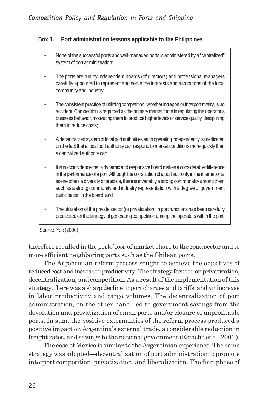#### **Box 1. Port administration lessons applicable to the Philippines**

- None of the successful ports and well-managed ports is administered by a "centralized" system of port administration;
- The ports are run by independent boards (of directors) and professional managers carefully appointed to represent and serve the interests and aspirations of the local community and industry;
- The consistent practice of utilizing competition, whether intraport or interport rivalry, is no accident. Competition is regarded as the primary market force in regulating the operator's business behavior, motivating them to produce higher levels of service quality, disciplining them to reduce costs;
- A decentralized system of local port authorities each operating independently is predicated on the fact that a local port authority can respond to market conditions more quickly than a centralized authority can;
- It is no coincidence that a dynamic and responsive board makes a considerable difference in the performance of a port. Although the constitution of a port authority in the international scene offers a diversity of practice, there is invariably a strong commonality among them such as a strong community and industry representation with a degree of government participation in the board; and
- The utilization of the private sector (or privatization) in port functions has been carefully predicated on the strategy of generating competition among the operators within the port.

Source: Yee (2000)

therefore resulted in the ports' loss of market share to the road sector and to more efficient neighboring ports such as the Chilean ports.

The Argentinian reform process sought to achieve the objectives of reduced cost and increased productivity. The strategy focused on privatization, decentralization, and competition. As a result of the implementation of this strategy, there was a sharp decline in port charges and tariffs, and an increase in labor productivity and cargo volumes. The decentralization of port administration, on the other hand, led to government savings from the devolution and privatization of small ports and/or closure of unprofitable ports. In sum, the positive externalities of the reform process produced a positive impact on Argentina's external trade, a considerable reduction in freight rates, and savings to the national government (Estache et al. 2001 ).

The case of Mexico is similar to the Argentinian experience. The same strategy was adopted—decentralization of port administration to promote interport competition, privatization, and liberalization. The first phase of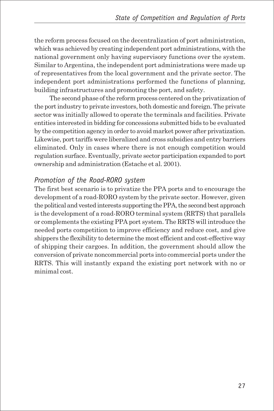the reform process focused on the decentralization of port administration, which was achieved by creating independent port administrations, with the national government only having supervisory functions over the system. Similar to Argentina, the independent port administrations were made up of representatives from the local government and the private sector. The independent port administrations performed the functions of planning, building infrastructures and promoting the port, and safety.

The second phase of the reform process centered on the privatization of the port industry to private investors, both domestic and foreign. The private sector was initially allowed to operate the terminals and facilities. Private entities interested in bidding for concessions submitted bids to be evaluated by the competition agency in order to avoid market power after privatization. Likewise, port tariffs were liberalized and cross subsidies and entry barriers eliminated. Only in cases where there is not enough competition would regulation surface. Eventually, private sector participation expanded to port ownership and administration (Estache et al. 2001).

#### *Promotion of the Road-RORO system*

The first best scenario is to privatize the PPA ports and to encourage the development of a road-RORO system by the private sector. However, given the political and vested interests supporting the PPA, the second best approach is the development of a road-RORO terminal system (RRTS) that parallels or complements the existing PPA port system. The RRTS will introduce the needed ports competition to improve efficiency and reduce cost, and give shippers the flexibility to determine the most efficient and cost-effective way of shipping their cargoes. In addition, the government should allow the conversion of private noncommercial ports into commercial ports under the RRTS. This will instantly expand the existing port network with no or minimal cost.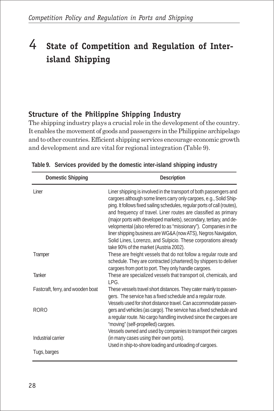# 4 **State of Competition and Regulation of Interisland Shipping**

## **Structure of the Philippine Shipping Industry**

The shipping industry plays a crucial role in the development of the country. It enables the movement of goods and passengers in the Philippine archipelago and to other countries. Efficient shipping services encourage economic growth and development and are vital for regional integration (Table 9).

| <b>Domestic Shipping</b>          | Description                                                                                                                                                                                                                                                                                                                                                                                                                                                                                                                                                                                                      |
|-----------------------------------|------------------------------------------------------------------------------------------------------------------------------------------------------------------------------------------------------------------------------------------------------------------------------------------------------------------------------------------------------------------------------------------------------------------------------------------------------------------------------------------------------------------------------------------------------------------------------------------------------------------|
| Liner                             | Liner shipping is involved in the transport of both passengers and<br>cargoes although some liners carry only cargoes, e.g., Solid Ship-<br>ping. It follows fixed sailing schedules, regular ports of call (routes),<br>and frequency of travel. Liner routes are classified as primary<br>(major ports with developed markets), secondary, tertiary, and de-<br>velopmental (also referred to as "missionary"). Companies in the<br>liner shipping business are WG&A (now ATS), Negros Navigation,<br>Solid Lines, Lorenzo, and Sulpicio. These corporations already<br>take 90% of the market (Austria 2002). |
| Tramper                           | These are freight vessels that do not follow a regular route and<br>schedule. They are contracted (chartered) by shippers to deliver<br>cargoes from port to port. They only handle cargoes.                                                                                                                                                                                                                                                                                                                                                                                                                     |
| <b>Tanker</b>                     | These are specialized vessels that transport oil, chemicals, and<br>IPG.                                                                                                                                                                                                                                                                                                                                                                                                                                                                                                                                         |
| Fastcraft, ferry, and wooden boat | These vessels travel short distances. They cater mainly to passen-<br>gers. The service has a fixed schedule and a regular route.<br>Vessels used for short distance travel. Can accommodate passen-                                                                                                                                                                                                                                                                                                                                                                                                             |
| <b>RORO</b>                       | gers and vehicles (as cargo). The service has a fixed schedule and<br>a regular route. No cargo handling involved since the cargoes are<br>"moving" (self-propelled) cargoes.<br>Vessels owned and used by companies to transport their cargoes                                                                                                                                                                                                                                                                                                                                                                  |
| Industrial carrier                | (in many cases using their own ports).<br>Used in ship-to-shore loading and unloading of cargoes.                                                                                                                                                                                                                                                                                                                                                                                                                                                                                                                |
| Tugs, barges                      |                                                                                                                                                                                                                                                                                                                                                                                                                                                                                                                                                                                                                  |

|  |  |  |  | Table 9. Services provided by the domestic inter-island shipping industry |  |  |  |  |
|--|--|--|--|---------------------------------------------------------------------------|--|--|--|--|
|--|--|--|--|---------------------------------------------------------------------------|--|--|--|--|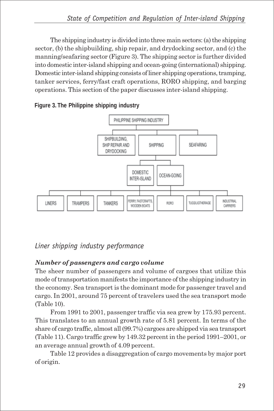The shipping industry is divided into three main sectors: (a) the shipping sector, (b) the shipbuilding, ship repair, and drydocking sector, and (c) the manning/seafaring sector (Figure 3). The shipping sector is further divided into domestic inter-island shipping and ocean-going (international) shipping. Domestic inter-island shipping consists of liner shipping operations, tramping, tanker services, ferry/fast craft operations, RORO shipping, and barging operations. This section of the paper discusses inter-island shipping.

**Figure 3. The Philippine shipping industry**



## *Liner shipping industry performance*

## *Number of passengers and cargo volume*

The sheer number of passengers and volume of cargoes that utilize this mode of transportation manifests the importance of the shipping industry in the economy. Sea transport is the dominant mode for passenger travel and cargo. In 2001, around 75 percent of travelers used the sea transport mode (Table 10).

From 1991 to 2001, passenger traffic via sea grew by 175.93 percent. This translates to an annual growth rate of 5.81 percent. In terms of the share of cargo traffic, almost all (99.7%) cargoes are shipped via sea transport (Table 11). Cargo traffic grew by 149.32 percent in the period 1991–2001, or an average annual growth of 4.09 percent.

Table 12 provides a disaggregation of cargo movements by major port of origin.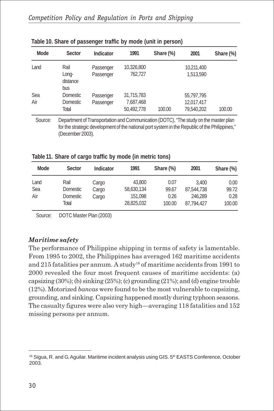| Mode | Sector                   | Indicator | 1991       | Share (%) | 2001       | Share (%) |
|------|--------------------------|-----------|------------|-----------|------------|-----------|
| Land | Rail                     | Passenger | 10,326,800 |           | 10,211,400 |           |
|      | Long-<br>distance<br>bus | Passenger | 762,727    |           | 1,513,590  |           |
| Sea  | Domestic                 | Passenger | 31,715,783 |           | 55,797,795 |           |
| Air  | Domestic                 | Passenger | 7,687,468  |           | 12,017,417 |           |
|      | Total                    |           | 50,492,778 | 100.00    | 79,540,202 | 100.00    |
|      |                          |           |            |           |            |           |

| Table 10. Share of passenger traffic by mode (unit in person) |  |  |  |  |  |
|---------------------------------------------------------------|--|--|--|--|--|
|---------------------------------------------------------------|--|--|--|--|--|

Source: Department of Transportation and Communication (DOTC), "The study on the master plan for the strategic development of the national port system in the Republic of the Philippines," (December 2003).

**Table 11. Share of cargo traffic by mode (in metric tons)**

| Mode | Sector          | Indicator | 1991       | Share (%) | 2001       | Share (%) |
|------|-----------------|-----------|------------|-----------|------------|-----------|
| Land | Rail            | Cargo     | 43,800     | 0.07      | 3.400      | 0.00      |
| Sea  | Domestic        | Cargo     | 58,630,134 | 99.67     | 87,544,738 | 99.72     |
| Air  | <b>Domestic</b> | Cargo     | 151,098    | 0.26      | 246.289    | 0.28      |
|      | Total           |           | 28.825.032 | 100.00    | 87.794.427 | 100.00    |

Source: DOTC Master Plan (2003)

#### *Maritime safety*

The performance of Philippine shipping in terms of safety is lamentable. From 1995 to 2002, the Philippines has averaged 162 maritime accidents and 215 fatalities per annum. A study<sup>16</sup> of maritime accidents from 1991 to 2000 revealed the four most frequent causes of maritime accidents: (a) capsizing  $(30\%)$ ; (b) sinking  $(25\%)$ ; (c) grounding  $(21\%)$ ; and (d) engine trouble (12%). Motorized *bancas* were found to be the most vulnerable to capsizing, grounding, and sinking. Capsizing happened mostly during typhoon seasons. The casualty figures were also very high—averaging 118 fatalities and 152 missing persons per annum.

<sup>&</sup>lt;sup>16</sup> Sigua, R. and G. Aguilar. Maritime incident analysis using GIS. 5<sup>th</sup> EASTS Conference, October 2003.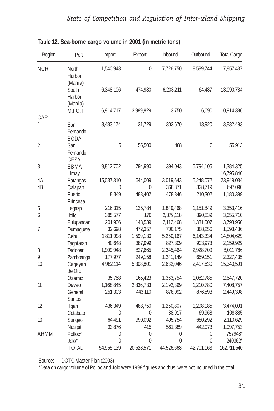| Region          | Port                            | Import     | Export         | Inbound    | Outbound   | <b>Total Cargo</b>      |
|-----------------|---------------------------------|------------|----------------|------------|------------|-------------------------|
| <b>NCR</b>      | North<br>Harbor<br>(Manila)     | 1,540,943  | 0              | 7,726,750  | 8,589,744  | 17,857,437              |
|                 | South<br>Harbor<br>(Manila)     | 6,348,106  | 474,980        | 6,203,211  | 64,487     | 13,090,784              |
|                 | M.I.C.T.                        | 6,914,717  | 3,989,829      | 3,750      | 6,090      | 10,914,386              |
| CAR             |                                 |            |                |            |            |                         |
| 1               | San<br>Fernando,<br><b>BCDA</b> | 3,483,174  | 31,729         | 303,670    | 13,920     | 3,832,493               |
| 2               | San<br>Fernando,<br>CEZA        | 5          | 55,500         | 408        | 0          | 55,913                  |
| $\mathfrak{Z}$  | SBMA<br>Limay                   | 9,812,702  | 794,990        | 394,043    | 5,794,105  | 1,384,325<br>16,795,840 |
| 4A              | <b>Batangas</b>                 | 15,037,310 | 644,009        | 3,019,643  | 5,248,072  | 23,949,034              |
| 4B              | Calapan                         | 0          | 0              | 368,371    | 328,719    | 697,090                 |
|                 | Puerto<br>Princesa              | 8,349      | 483,402        | 478,346    | 210,302    | 1,180,399               |
| 5               | Legazpi                         | 216,315    | 135,784        | 1,849,468  | 1,151,849  | 3,353,416               |
| 6               | <b>Iloilo</b>                   | 385,577    | 176            | 2,379,118  | 890,839    | 3,655,710               |
|                 | Pulupandan                      | 201,936    | 148,539        | 2,112,468  | 1,331,007  | 3,793,950               |
| 7               | Dumaguete                       | 32,698     | 472,357        | 700,175    | 388,256    | 1,593,486               |
|                 | Cebu                            | 1,811,998  | 1,599,130      | 5,250,167  | 6,143,334  | 14,804,629              |
|                 | Tagbilaran                      | 40,648     | 387,999        | 827,309    | 903,973    | 2,159,929               |
| 8               | Tacloban                        | 1,909,948  | 827,665        | 2,345,464  | 2,928,709  | 8,011,786               |
| 9               | Zamboanga                       | 177,977    | 249,158        | 1,241,149  | 659,151    | 2,327,435               |
| 10 <sup>°</sup> | Cagayan<br>de Oro               | 4,982,114  | 5,308,801      | 2,632,046  | 2,417,630  | 15,340,591              |
|                 | Ozamiz                          | 35,758     | 165,423        | 1,363,754  | 1,082,785  | 2,647,720               |
| 11              | Davao                           | 1,168,845  | 2,836,733      | 2,192,399  | 1,210,780  | 7,408,757               |
|                 | General<br><b>Santos</b>        | 251,303    | 443,110        | 878,092    | 876,893    | 2,449,398               |
| 12              | Iligan                          | 436,349    | 488,750        | 1,250,807  | 1,298,185  | 3,474,091               |
|                 | Cotabato                        | $\Omega$   | $\Omega$       | 38,917     | 69,968     | 108,885                 |
| 13              | Surigao                         | 64,491     | 990.092        | 405,754    | 650,292    | 2,110,629               |
|                 | Nasipit                         | 93,876     | 415            | 561,389    | 442,073    | 1,097,753               |
| ARMM            | Polloc*                         | 0          | $\overline{0}$ | 0          | 0          | 757948*                 |
|                 | Jolo*                           | 0          | $\Omega$       | $\Omega$   | $\Omega$   | 240362*                 |
|                 | <b>TOTAL</b>                    | 54,955,139 | 20,528,571     | 44,526,668 | 42,701,163 | 162,711,540             |

| Table 12. Sea-borne cargo volume in 2001 (in metric tons) |  |  |  |
|-----------------------------------------------------------|--|--|--|
|                                                           |  |  |  |

Source: DOTC Master Plan (2003)

\*Data on cargo volume of Polloc and Jolo were 1998 figures and thus, were not included in the total.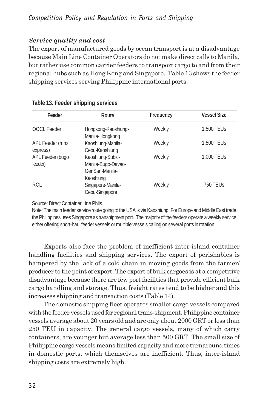#### *Service quality and cost*

The export of manufactured goods by ocean transport is at a disadvantage because Main Line Container Operators do not make direct calls to Manila, but rather use common carrier feeders to transport cargo to and from their regional hubs such as Hong Kong and Singapore. Table 13 shows the feeder shipping services serving Philippine international ports.

| Feeder                      | Route                                                                 | Frequency | <b>Vessel Size</b> |
|-----------------------------|-----------------------------------------------------------------------|-----------|--------------------|
| <b>OOCL Feeder</b>          | Hongkong-Kaoshiung-<br>Manila-Hongkong                                | Weekly    | 1,500 TEUs         |
| APL Feeder (mnx<br>express) | Kaoshiung-Manila-<br>Cebu-Kaoshiung                                   | Weekly    | 1,500 TEUs         |
| APL Feeder (bugo<br>feeder) | Kaoshiung-Subic-<br>Manila-Bugo-Davao-<br>GenSan-Manila-<br>Kaoshiung | Weekly    | 1,000 TEUs         |
| RCL                         | Singapore-Manila-<br>Cebu-Singapore                                   | Weekly    | 750 TEUS           |

Source: Direct Container Line Phils.

Note: The main feeder service route going to the USA is via Kaoshiung. For Europe and Middle East trade, the Philippines uses Singapore as transhipment port. The majority of the feeders operate a weekly service, either offering short-haul feeder vessels or multiple vessels calling on several ports in rotation.

Exports also face the problem of inefficient inter-island container handling facilities and shipping services. The export of perishables is hampered by the lack of a cold chain in moving goods from the farmer/ producer to the point of export. The export of bulk cargoes is at a competitive disadvantage because there are few port facilities that provide efficient bulk cargo handling and storage. Thus, freight rates tend to be higher and this increases shipping and transaction costs (Table 14).

The domestic shipping fleet operates smaller cargo vessels compared with the feeder vessels used for regional trans-shipment. Philippine container vessels average about 20 years old and are only about 2000 GRT or less than 250 TEU in capacity. The general cargo vessels, many of which carry containers, are younger but average less than 500 GRT. The small size of Philippine cargo vessels means limited capacity and more turnaround times in domestic ports, which themselves are inefficient. Thus, inter-island shipping costs are extremely high.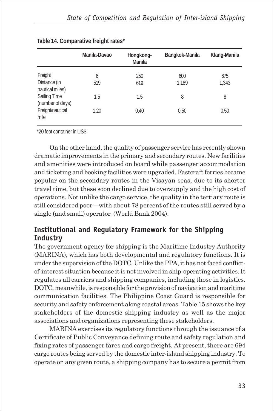|                                              | Manila-Davao | Hongkong-<br>Manila | Bangkok-Manila | Klang-Manila |
|----------------------------------------------|--------------|---------------------|----------------|--------------|
| Freight<br>Distance (in                      | 6<br>519     | 250<br>619          | 600<br>1,189   | 675<br>1,343 |
| nautical miles)<br><b>Sailing Time</b>       | 1.5          | 1.5                 | 8              | 8            |
| (number of days)<br>Freight/nautical<br>mile | 1.20         | 0.40                | 0.50           | 0.50         |

#### **Table 14. Comparative freight rates\***

\*20 foot container in US\$

On the other hand, the quality of passenger service has recently shown dramatic improvements in the primary and secondary routes. New facilities and amenities were introduced on board while passenger accommodation and ticketing and booking facilities were upgraded. Fastcraft ferries became popular on the secondary routes in the Visayan seas, due to its shorter travel time, but these soon declined due to oversupply and the high cost of operations. Not unlike the cargo service, the quality in the tertiary route is still considered poor—with about 78 percent of the routes still served by a single (and small) operator (World Bank 2004).

## **Institutional and Regulatory Framework for the Shipping Industry**

The government agency for shipping is the Maritime Industry Authority (MARINA), which has both developmental and regulatory functions. It is under the supervision of the DOTC. Unlike the PPA, it has not faced conflictof-interest situation because it is not involved in ship-operating activities. It regulates all carriers and shipping companies, including those in logistics. DOTC, meanwhile, is responsible for the provision of navigation and maritime communication facilities. The Philippine Coast Guard is responsible for security and safety enforcement along coastal areas. Table 15 shows the key stakeholders of the domestic shipping industry as well as the major associations and organizations representing these stakeholders.

MARINA exercises its regulatory functions through the issuance of a Certificate of Public Conveyance defining route and safety regulation and fixing rates of passenger fares and cargo freight. At present, there are 694 cargo routes being served by the domestic inter-island shipping industry. To operate on any given route, a shipping company has to secure a permit from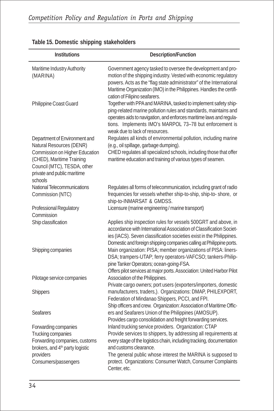| <b>Institutions</b>                                                                                                                                             | Description/Function                                                                                                                                                                                                                                                                                                                                      |
|-----------------------------------------------------------------------------------------------------------------------------------------------------------------|-----------------------------------------------------------------------------------------------------------------------------------------------------------------------------------------------------------------------------------------------------------------------------------------------------------------------------------------------------------|
|                                                                                                                                                                 |                                                                                                                                                                                                                                                                                                                                                           |
| Maritime Industry Authority<br>(MARINA)                                                                                                                         | Government agency tasked to oversee the development and pro-<br>motion of the shipping industry. Vested with economic regulatory<br>powers. Acts as the "flag state administrator" of the International<br>Maritime Organization (IMO) in the Philippines. Handles the certifi-<br>cation of Filipino seafarers.                                          |
| Philippine Coast Guard                                                                                                                                          | Together with PPA and MARINA, tasked to implement safety ship-<br>ping-related marine pollution rules and standards, maintains and<br>operates aids to navigation, and enforces maritime laws and regula-<br>tions. Implements IMO's MARPOL 73-78 but enforcement is<br>weak due to lack of resources.                                                    |
| Department of Environment and                                                                                                                                   | Regulates all kinds of environmental pollution, including marine                                                                                                                                                                                                                                                                                          |
| Natural Resources (DENR)                                                                                                                                        | (e.g., oil spillage, garbage dumping).<br>CHED regulates all specialized schools, including those that offer                                                                                                                                                                                                                                              |
| Commission on Higher Education<br>(CHED), Maritime Training<br>Council (MTC), TESDA, other<br>private and public maritime<br>schools                            | maritime education and training of various types of seamen.                                                                                                                                                                                                                                                                                               |
| National Telecommunications                                                                                                                                     | Regulates all forms of telecommunication, including grant of radio                                                                                                                                                                                                                                                                                        |
| Commission (NTC)                                                                                                                                                | frequencies for vessels whether ship-to-ship, ship-to- shore, or                                                                                                                                                                                                                                                                                          |
| Professional Regulatory<br>Commission                                                                                                                           | ship-to-INMARSAT & GMDSS.<br>Licensure (marine engineering / marine transport)                                                                                                                                                                                                                                                                            |
| Ship classification                                                                                                                                             | Applies ship inspection rules for vessels 500GRT and above, in<br>accordance with International Association of Classification Societ-<br>ies (IACS). Seven classification societies exist in the Philippines.<br>Domestic and foreign shipping companies calling at Philippine ports.                                                                     |
| Shipping companies                                                                                                                                              | Main organization: PISA; member organizations of PISA: liners-<br>DSA; trampers-UTAP; ferry operators-VAFCSO; tankers-Philip-<br>pine Tanker Operators; ocean-going-FSA.                                                                                                                                                                                  |
| Pilotage service companies                                                                                                                                      | Offers pilot services at major ports. Association: United Harbor Pilot<br>Association of the Philippines.                                                                                                                                                                                                                                                 |
| Shippers                                                                                                                                                        | Private cargo owners; port users (exporters/importers, domestic<br>manufacturers, traders,). Organizations: DMAP, PHILEXPORT,<br>Federation of Mindanao Shippers, PCCI, and FPI.<br>Ship officers and crew. Organization: Association of Maritime Offic-                                                                                                  |
| <b>Seafarers</b>                                                                                                                                                | ers and Seafarers Union of the Philippines (AMOSUP).<br>Provides cargo consolidation and freight forwarding services.                                                                                                                                                                                                                                     |
| Forwarding companies<br>Trucking companies<br>Forwarding companies, customs<br>brokers, and 4 <sup>th</sup> party logistic<br>providers<br>Consumers/passengers | Inland trucking service providers. Organization: CTAP<br>Provide services to shippers, by addressing all requirements at<br>every stage of the logistics chain, including tracking, documentation<br>and customs clearance.<br>The general public whose interest the MARINA is supposed to<br>protect. Organizations: Consumer Watch, Consumer Complaints |
|                                                                                                                                                                 | Center, etc.                                                                                                                                                                                                                                                                                                                                              |

## **Table 15. Domestic shipping stakeholders**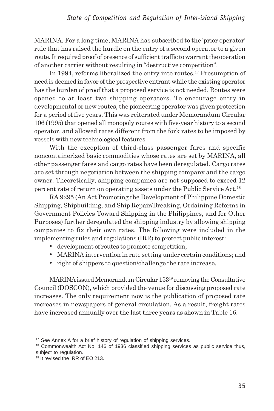MARINA. For a long time, MARINA has subscribed to the 'prior operator' rule that has raised the hurdle on the entry of a second operator to a given route. It required proof of presence of sufficient traffic to warrant the operation of another carrier without resulting in "destructive competition".

In 1994, reforms liberalized the entry into routes.<sup>17</sup> Presumption of need is deemed in favor of the prospective entrant while the existing operator has the burden of proof that a proposed service is not needed. Routes were opened to at least two shipping operators. To encourage entry in developmental or new routes, the pioneering operator was given protection for a period of five years. This was reiterated under Memorandum Circular 106 (1995) that opened all monopoly routes with five-year history to a second operator, and allowed rates different from the fork rates to be imposed by vessels with new technological features.

With the exception of third-class passenger fares and specific noncontainerized basic commodities whose rates are set by MARINA, all other passenger fares and cargo rates have been deregulated. Cargo rates are set through negotiation between the shipping company and the cargo owner. Theoretically, shipping companies are not supposed to exceed 12 percent rate of return on operating assets under the Public Service Act.18

RA 9295 (An Act Promoting the Development of Philippine Domestic Shipping, Shipbuilding, and Ship Repair/Breaking, Ordaining Reforms in Government Policies Toward Shipping in the Philippines, and for Other Purposes) further deregulated the shipping industry by allowing shipping companies to fix their own rates. The following were included in the implementing rules and regulations (IRR) to protect public interest:

- development of routes to promote competition;
- MARINA intervention in rate setting under certain conditions; and
- right of shippers to question/challenge the rate increase.

MARINA issued Memorandum Circular 15319 removing the Consultative Council (DOSCON), which provided the venue for discussing proposed rate increases. The only requirement now is the publication of proposed rate increases in newspapers of general circulation. As a result, freight rates have increased annually over the last three years as shown in Table 16.

<sup>&</sup>lt;sup>17</sup> See Annex A for a brief history of regulation of shipping services.

<sup>&</sup>lt;sup>18</sup> Commonwealth Act No. 146 of 1936 classified shipping services as public service thus, subject to regulation.

<sup>19</sup> It revised the IRR of EO 213.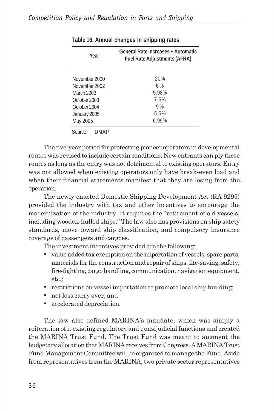| Year            | General Rate Increases + Automatic<br><b>Fuel Rate Adjustments (AFRA)</b> |  |  |  |  |
|-----------------|---------------------------------------------------------------------------|--|--|--|--|
|                 |                                                                           |  |  |  |  |
| November 2000   | 20%                                                                       |  |  |  |  |
| November 2002   | 6%                                                                        |  |  |  |  |
| March 2003      | 5.98%                                                                     |  |  |  |  |
| October 2003    | 7.5%                                                                      |  |  |  |  |
| October 2004    | 9%                                                                        |  |  |  |  |
| January 2005    | 5.5%                                                                      |  |  |  |  |
| May 2005        | $6.99\%$                                                                  |  |  |  |  |
| Source:<br>DMAP |                                                                           |  |  |  |  |

**Table 16. Annual changes in shipping rates**

The five-year period for protecting pioneer operators in developmental routes was revised to include certain conditions. New entrants can ply these routes as long as the entry was not detrimental to existing operators. Entry was not allowed when existing operators only have break-even load and when their financial statements manifest that they are losing from the operation.

The newly enacted Domestic Shipping Development Act (RA 9295) provided the industry with tax and other incentives to encourage the modernization of the industry. It requires the "retirement of old vessels, including wooden-hulled ships." The law also has provisions on ship safety standards, move toward ship classification, and compulsory insurance coverage of passengers and cargoes.

The investment incentives provided are the following:

- value added tax exemption on the importation of vessels, spare parts, materials for the construction and repair of ships, life-saving, safety, fire-fighting, cargo handling, communication, navigation equipment, etc.;
- restrictions on vessel importation to promote local ship building;
- net loss carry over; and
- accelerated depreciation.

The law also defined MARINA's mandate, which was simply a reiteration of it existing regulatory and quasijudicial functions and created the MARINA Trust Fund. The Trust Fund was meant to augment the budgetary allocation that MARINA receives from Congress. A MARINA Trust Fund Management Committee will be organized to manage the Fund. Aside from representatives from the MARINA, two private sector representatives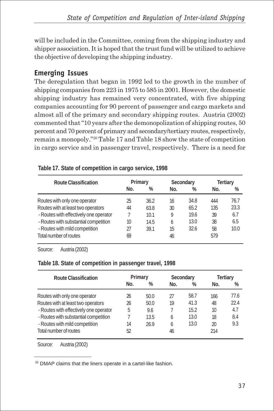will be included in the Committee, coming from the shipping industry and shipper association. It is hoped that the trust fund will be utilized to achieve the objective of developing the shipping industry.

## **Emerging Issues**

The deregulation that began in 1992 led to the growth in the number of shipping companies from 223 in 1975 to 585 in 2001. However, the domestic shipping industry has remained very concentrated, with five shipping companies accounting for 90 percent of passenger and cargo markets and almost all of the primary and secondary shipping routes. Austria (2002) commented that "10 years after the demonopolization of shipping routes, 50 percent and 70 percent of primary and secondary/tertiary routes, respectively, remain a monopoly."20 Table 17 and Table 18 show the state of competition in cargo service and in passenger travel, respectively. There is a need for

| Route Classification                   | Primary |      | Secondary |      | Tertiary |      |
|----------------------------------------|---------|------|-----------|------|----------|------|
|                                        | No.     | $\%$ | No.       | %    | No.      | %    |
| Routes with only one operator          | 25      | 36.2 | 16        | 34.8 | 444      | 76.7 |
| Routes with at least two operators     | 44      | 63.8 | 30        | 65.2 | 135      | 23.3 |
| - Routes with effectively one operator |         | 10.1 | 9         | 19.6 | 39       | 6.7  |
| - Routes with substantial competition  | 10      | 14.5 | 6         | 13.0 | 38       | 6.5  |
| - Routes with mild competition         | 27      | 39.1 | 15        | 32.6 | 58       | 10.0 |
| Total number of routes                 | 69      |      | 46        |      | 579      |      |

**Table 17. State of competition in cargo service, 1998**

Source: Austria (2002)

#### **Table 18. State of competition in passenger travel, 1998**

| Route Classification                   | Primary |      | Secondary |      | <b>Tertiary</b> |      |
|----------------------------------------|---------|------|-----------|------|-----------------|------|
|                                        | No.     | %    | No.       | %    | No.             | %    |
| Routes with only one operator          | 26      | 50.0 | 27        | 58.7 | 166             | 77.6 |
| Routes with at least two operators     | 26      | 50.0 | 19        | 41.3 | 48              | 22.4 |
| - Routes with effectively one operator | 5       | 9.6  |           | 15.2 | 10              | 4.7  |
| - Routes with substantial competition  |         | 13.5 | 6         | 13.0 | 18              | 8.4  |
| - Routes with mild competition         | 14      | 26.9 | 6         | 13.0 | 20              | 9.3  |
| Total number of routes                 | 52      |      | 46        |      | 214             |      |

Source: Austria (2002)

20 DMAP claims that the liners operate in a cartel-like fashion.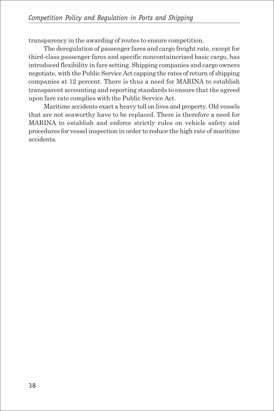transparency in the awarding of routes to ensure competition.

The deregulation of passenger fares and cargo freight rate, except for third-class passenger fares and specific noncontainerized basic cargo, has introduced flexibility in fare setting. Shipping companies and cargo owners negotiate, with the Public Service Act capping the rates of return of shipping companies at 12 percent. There is thus a need for MARINA to establish transparent accounting and reporting standards to ensure that the agreed upon fare rate complies with the Public Service Act.

Maritime accidents exact a heavy toll on lives and property. Old vessels that are not seaworthy have to be replaced. There is therefore a need for MARINA to establish and enforce strictly rules on vehicle safety and procedures for vessel inspection in order to reduce the high rate of maritime accidents.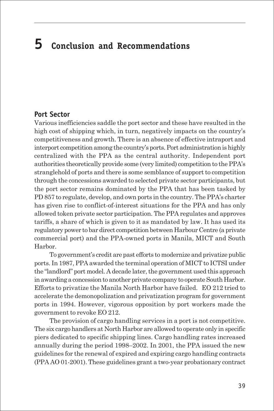# **5 Conclusion and Recommendations**

#### **Port Sector**

Various inefficiencies saddle the port sector and these have resulted in the high cost of shipping which, in turn, negatively impacts on the country's competitiveness and growth. There is an absence of effective intraport and interport competition among the country's ports. Port administration is highly centralized with the PPA as the central authority. Independent port authorities theoretically provide some (very limited) competition to the PPA's stranglehold of ports and there is some semblance of support to competition through the concessions awarded to selected private sector participants, but the port sector remains dominated by the PPA that has been tasked by PD 857 to regulate, develop, and own ports in the country. The PPA's charter has given rise to conflict-of-interest situations for the PPA and has only allowed token private sector participation. The PPA regulates and approves tariffs, a share of which is given to it as mandated by law. It has used its regulatory power to bar direct competition between Harbour Centre (a private commercial port) and the PPA-owned ports in Manila, MICT and South Harbor.

To government's credit are past efforts to modernize and privatize public ports. In 1987, PPA awarded the terminal operation of MICT to ICTSI under the "landlord" port model. A decade later, the government used this approach in awarding a concession to another private company to operate South Harbor. Efforts to privatize the Manila North Harbor have failed. EO 212 tried to accelerate the demonopolization and privatization program for government ports in 1994. However, vigorous opposition by port workers made the government to revoke EO 212.

The provision of cargo handling services in a port is not competitive. The six cargo handlers at North Harbor are allowed to operate only in specific piers dedicated to specific shipping lines. Cargo handling rates increased annually during the period 1998–2002. In 2001, the PPA issued the new guidelines for the renewal of expired and expiring cargo handling contracts (PPA AO 01-2001). These guidelines grant a two-year probationary contract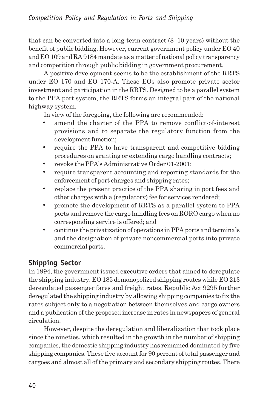that can be converted into a long-term contract (8–10 years) without the benefit of public bidding. However, current government policy under EO 40 and EO 109 and RA 9184 mandate as a matter of national policy transparency and competition through public bidding in government procurement.

A positive development seems to be the establishment of the RRTS under EO 170 and EO 170-A. These EOs also promote private sector investment and participation in the RRTS. Designed to be a parallel system to the PPA port system, the RRTS forms an integral part of the national highway system.

In view of the foregoing, the following are recommended:

- amend the charter of the PPA to remove conflict-of-interest provisions and to separate the regulatory function from the development function;
- require the PPA to have transparent and competitive bidding procedures on granting or extending cargo handling contracts;
- revoke the PPA's Administrative Order 01-2001;
- require transparent accounting and reporting standards for the enforcement of port charges and shipping rates;
- replace the present practice of the PPA sharing in port fees and other charges with a (regulatory) fee for services rendered;
- promote the development of RRTS as a parallel system to PPA ports and remove the cargo handling fees on RORO cargo when no corresponding service is offered; and
- continue the privatization of operations in PPA ports and terminals and the designation of private noncommercial ports into private commercial ports.

## **Shipping Sector**

In 1994, the government issued executive orders that aimed to deregulate the shipping industry. EO 185 demonopolized shipping routes while EO 213 deregulated passenger fares and freight rates. Republic Act 9295 further deregulated the shipping industry by allowing shipping companies to fix the rates subject only to a negotiation between themselves and cargo owners and a publication of the proposed increase in rates in newspapers of general circulation.

However, despite the deregulation and liberalization that took place since the nineties, which resulted in the growth in the number of shipping companies, the domestic shipping industry has remained dominated by five shipping companies. These five account for 90 percent of total passenger and cargoes and almost all of the primary and secondary shipping routes. There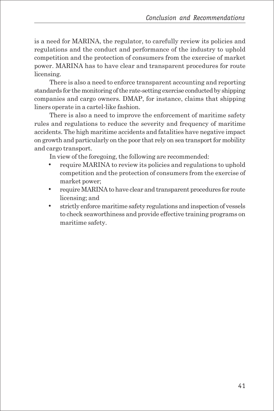is a need for MARINA, the regulator, to carefully review its policies and regulations and the conduct and performance of the industry to uphold competition and the protection of consumers from the exercise of market power. MARINA has to have clear and transparent procedures for route licensing.

There is also a need to enforce transparent accounting and reporting standards for the monitoring of the rate-setting exercise conducted by shipping companies and cargo owners. DMAP, for instance, claims that shipping liners operate in a cartel-like fashion.

There is also a need to improve the enforcement of maritime safety rules and regulations to reduce the severity and frequency of maritime accidents. The high maritime accidents and fatalities have negative impact on growth and particularly on the poor that rely on sea transport for mobility and cargo transport.

In view of the foregoing, the following are recommended:

- require MARINA to review its policies and regulations to uphold competition and the protection of consumers from the exercise of market power;
- require MARINA to have clear and transparent procedures for route licensing; and
- strictly enforce maritime safety regulations and inspection of vessels to check seaworthiness and provide effective training programs on maritime safety.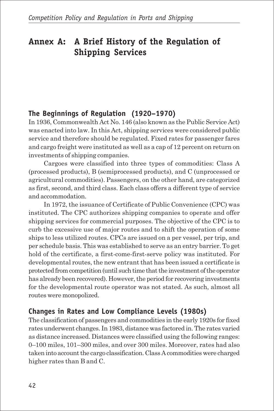## **Annex A: A Brief History of the Regulation of Shipping Services**

## **The Beginnings of Regulation (1920–1970)**

In 1936, Commonwealth Act No. 146 (also known as the Public Service Act) was enacted into law. In this Act, shipping services were considered public service and therefore should be regulated. Fixed rates for passenger fares and cargo freight were instituted as well as a cap of 12 percent on return on investments of shipping companies.

Cargoes were classified into three types of commodities: Class A (processed products), B (semiprocessed products), and C (unprocessed or agricultural commodities). Passengers, on the other hand, are categorized as first, second, and third class. Each class offers a different type of service and accommodation.

In 1972, the issuance of Certificate of Public Convenience (CPC) was instituted. The CPC authorizes shipping companies to operate and offer shipping services for commercial purposes. The objective of the CPC is to curb the excessive use of major routes and to shift the operation of some ships to less utilized routes. CPCs are issued on a per vessel, per trip, and per schedule basis. This was established to serve as an entry barrier. To get hold of the certificate, a first-come-first-serve policy was instituted. For developmental routes, the new entrant that has been issued a certificate is protected from competition (until such time that the investment of the operator has already been recovered). However, the period for recovering investments for the developmental route operator was not stated. As such, almost all routes were monopolized.

## **Changes in Rates and Low Compliance Levels (1980s)**

The classification of passengers and commodities in the early 1920s for fixed rates underwent changes. In 1983, distance was factored in. The rates varied as distance increased. Distances were classified using the following ranges: 0–100 miles, 101–300 miles, and over 300 miles. Moreover, rates had also taken into account the cargo classification. Class A commodities were charged higher rates than B and C.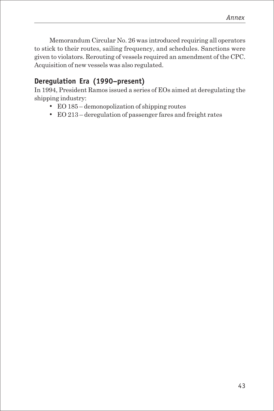Memorandum Circular No. 26 was introduced requiring all operators to stick to their routes, sailing frequency, and schedules. Sanctions were given to violators. Rerouting of vessels required an amendment of the CPC. Acquisition of new vessels was also regulated.

## **Deregulation Era (1990–present)**

In 1994, President Ramos issued a series of EOs aimed at deregulating the shipping industry:

- EO 185 demonopolization of shipping routes
- EO 213 deregulation of passenger fares and freight rates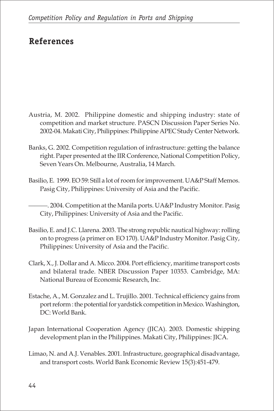## **References**

- Austria, M. 2002. Philippine domestic and shipping industry: state of competition and market structure. PASCN Discussion Paper Series No. 2002-04. Makati City, Philippines: Philippine APEC Study Center Network.
- Banks, G. 2002. Competition regulation of infrastructure: getting the balance right. Paper presented at the IIR Conference, National Competition Policy, Seven Years On. Melbourne, Australia, 14 March.
- Basilio, E. 1999. EO 59: Still a lot of room for improvement. UA&P Staff Memos. Pasig City, Philippines: University of Asia and the Pacific.
- ———. 2004. Competition at the Manila ports. UA&P Industry Monitor. Pasig City, Philippines: University of Asia and the Pacific.
- Basilio, E. and J.C. Llarena. 2003. The strong republic nautical highway: rolling on to progress (a primer on EO 170). UA&P Industry Monitor. Pasig City, Philippines: University of Asia and the Pacific.
- Clark, X., J. Dollar and A. Micco. 2004. Port efficiency, maritime transport costs and bilateral trade. NBER Discussion Paper 10353. Cambridge, MA: National Bureau of Economic Research, Inc.
- Estache, A., M. Gonzalez and L. Trujillo. 2001. Technical efficiency gains from port reform : the potential for yardstick competition in Mexico. Washington, DC: World Bank.
- Japan International Cooperation Agency (JICA). 2003. Domestic shipping development plan in the Philippines. Makati City, Philippines: JICA.
- Limao, N. and A.J. Venables. 2001. Infrastructure, geographical disadvantage, and transport costs. World Bank Economic Review 15(3):451-479.